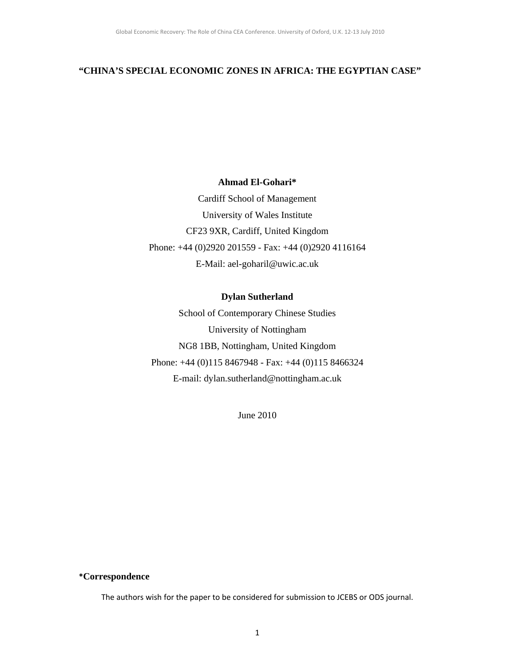## **"CHINA'S SPECIAL ECONOMIC ZONES IN AFRICA: THE EGYPTIAN CASE"**

### **Ahmad El-Gohari\***

Cardiff School of Management University of Wales Institute CF23 9XR, Cardiff, United Kingdom Phone: +44 (0)2920 201559 - Fax: +44 (0)2920 4116164 E-Mail: ael-goharil@uwic.ac.uk

## **Dylan Sutherland**

School of Contemporary Chinese Studies University of Nottingham NG8 1BB, Nottingham, United Kingdom Phone: +44 (0)115 8467948 - Fax: +44 (0)115 8466324 E-mail: dylan.sutherland@nottingham.ac.uk

June 2010

### **\*Correspondence**

The authors wish for the paper to be considered for submission to JCEBS or ODS journal.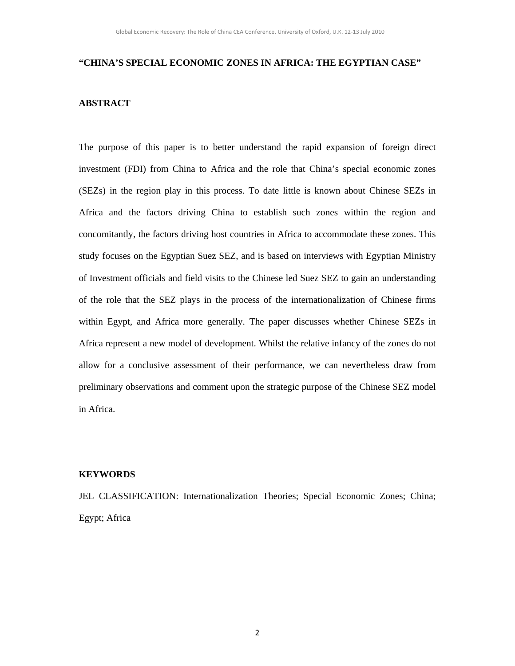## **"CHINA'S SPECIAL ECONOMIC ZONES IN AFRICA: THE EGYPTIAN CASE"**

## **ABSTRACT**

The purpose of this paper is to better understand the rapid expansion of foreign direct investment (FDI) from China to Africa and the role that China's special economic zones (SEZs) in the region play in this process. To date little is known about Chinese SEZs in Africa and the factors driving China to establish such zones within the region and concomitantly, the factors driving host countries in Africa to accommodate these zones. This study focuses on the Egyptian Suez SEZ, and is based on interviews with Egyptian Ministry of Investment officials and field visits to the Chinese led Suez SEZ to gain an understanding of the role that the SEZ plays in the process of the internationalization of Chinese firms within Egypt, and Africa more generally. The paper discusses whether Chinese SEZs in Africa represent a new model of development. Whilst the relative infancy of the zones do not allow for a conclusive assessment of their performance, we can nevertheless draw from preliminary observations and comment upon the strategic purpose of the Chinese SEZ model in Africa.

## **KEYWORDS**

JEL CLASSIFICATION: Internationalization Theories; Special Economic Zones; China; Egypt; Africa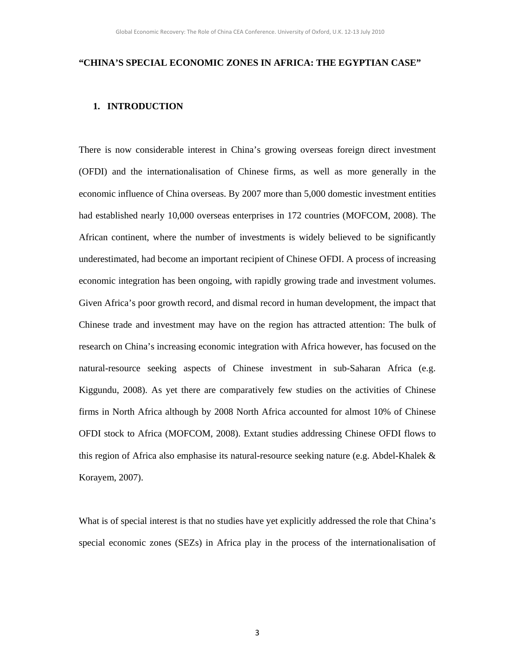## **"CHINA'S SPECIAL ECONOMIC ZONES IN AFRICA: THE EGYPTIAN CASE"**

## **1. INTRODUCTION**

There is now considerable interest in China's growing overseas foreign direct investment (OFDI) and the internationalisation of Chinese firms, as well as more generally in the economic influence of China overseas. By 2007 more than 5,000 domestic investment entities had established nearly 10,000 overseas enterprises in 172 countries (MOFCOM, 2008). The African continent, where the number of investments is widely believed to be significantly underestimated, had become an important recipient of Chinese OFDI. A process of increasing economic integration has been ongoing, with rapidly growing trade and investment volumes. Given Africa's poor growth record, and dismal record in human development, the impact that Chinese trade and investment may have on the region has attracted attention: The bulk of research on China's increasing economic integration with Africa however, has focused on the natural-resource seeking aspects of Chinese investment in sub-Saharan Africa (e.g. Kiggundu, 2008). As yet there are comparatively few studies on the activities of Chinese firms in North Africa although by 2008 North Africa accounted for almost 10% of Chinese OFDI stock to Africa (MOFCOM, 2008). Extant studies addressing Chinese OFDI flows to this region of Africa also emphasise its natural-resource seeking nature (e.g. Abdel-Khalek  $\&$ Korayem, 2007).

What is of special interest is that no studies have yet explicitly addressed the role that China's special economic zones (SEZs) in Africa play in the process of the internationalisation of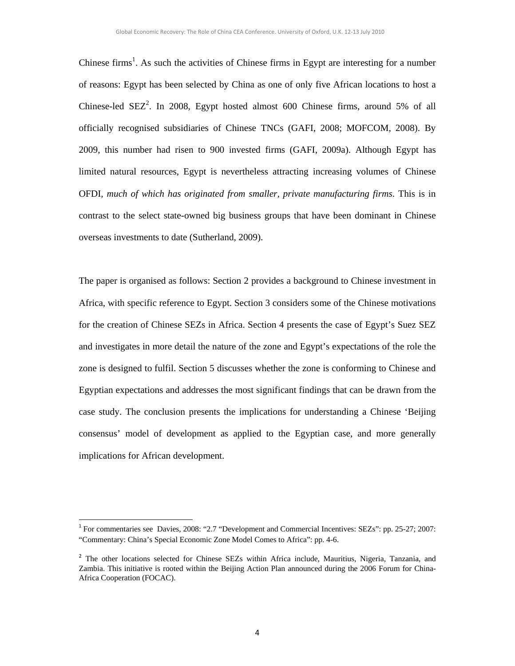Chinese firms<sup>1</sup>. As such the activities of Chinese firms in Egypt are interesting for a number of reasons: Egypt has been selected by China as one of only five African locations to host a Chinese-led  $SEZ^2$ . In 2008, Egypt hosted almost 600 Chinese firms, around 5% of all officially recognised subsidiaries of Chinese TNCs (GAFI, 2008; MOFCOM, 2008). By 2009, this number had risen to 900 invested firms (GAFI, 2009a). Although Egypt has limited natural resources, Egypt is nevertheless attracting increasing volumes of Chinese OFDI, *much of which has originated from smaller, private manufacturing firms*. This is in contrast to the select state-owned big business groups that have been dominant in Chinese overseas investments to date (Sutherland, 2009).

The paper is organised as follows: Section 2 provides a background to Chinese investment in Africa, with specific reference to Egypt. Section 3 considers some of the Chinese motivations for the creation of Chinese SEZs in Africa. Section 4 presents the case of Egypt's Suez SEZ and investigates in more detail the nature of the zone and Egypt's expectations of the role the zone is designed to fulfil. Section 5 discusses whether the zone is conforming to Chinese and Egyptian expectations and addresses the most significant findings that can be drawn from the case study. The conclusion presents the implications for understanding a Chinese 'Beijing consensus' model of development as applied to the Egyptian case, and more generally implications for African development.

<sup>&</sup>lt;sup>1</sup> For commentaries see Davies, 2008: "2.7 "Development and Commercial Incentives: SEZs": pp. 25-27; 2007: "Commentary: China's Special Economic Zone Model Comes to Africa": pp. 4-6.

<sup>&</sup>lt;sup>2</sup> The other locations selected for Chinese SEZs within Africa include, Mauritius, Nigeria, Tanzania, and Zambia. This initiative is rooted within the Beijing Action Plan announced during the 2006 Forum for China-Africa Cooperation (FOCAC).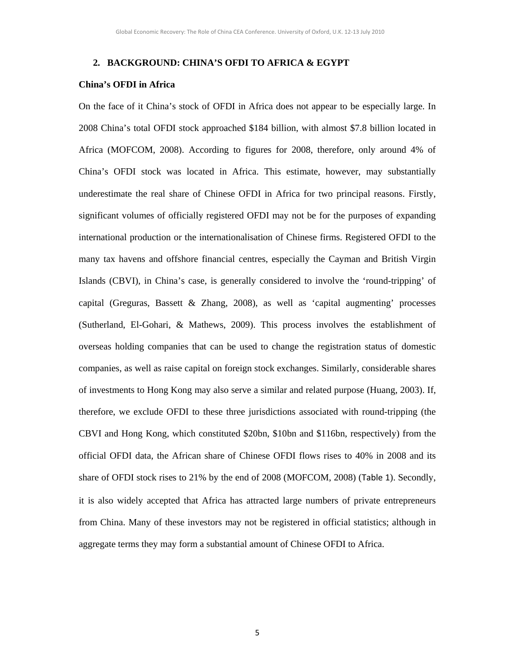### **2. BACKGROUND: CHINA'S OFDI TO AFRICA & EGYPT**

#### **China's OFDI in Africa**

On the face of it China's stock of OFDI in Africa does not appear to be especially large. In 2008 China's total OFDI stock approached \$184 billion, with almost \$7.8 billion located in Africa (MOFCOM, 2008). According to figures for 2008, therefore, only around 4% of China's OFDI stock was located in Africa. This estimate, however, may substantially underestimate the real share of Chinese OFDI in Africa for two principal reasons. Firstly, significant volumes of officially registered OFDI may not be for the purposes of expanding international production or the internationalisation of Chinese firms. Registered OFDI to the many tax havens and offshore financial centres, especially the Cayman and British Virgin Islands (CBVI), in China's case, is generally considered to involve the 'round-tripping' of capital (Greguras, Bassett & Zhang, 2008), as well as 'capital augmenting' processes (Sutherland, El-Gohari, & Mathews, 2009). This process involves the establishment of overseas holding companies that can be used to change the registration status of domestic companies, as well as raise capital on foreign stock exchanges. Similarly, considerable shares of investments to Hong Kong may also serve a similar and related purpose (Huang, 2003). If, therefore, we exclude OFDI to these three jurisdictions associated with round-tripping (the CBVI and Hong Kong, which constituted \$20bn, \$10bn and \$116bn, respectively) from the official OFDI data, the African share of Chinese OFDI flows rises to 40% in 2008 and its share of OFDI stock rises to 21% by the end of 2008 (MOFCOM, 2008) (Table 1). Secondly, it is also widely accepted that Africa has attracted large numbers of private entrepreneurs from China. Many of these investors may not be registered in official statistics; although in aggregate terms they may form a substantial amount of Chinese OFDI to Africa.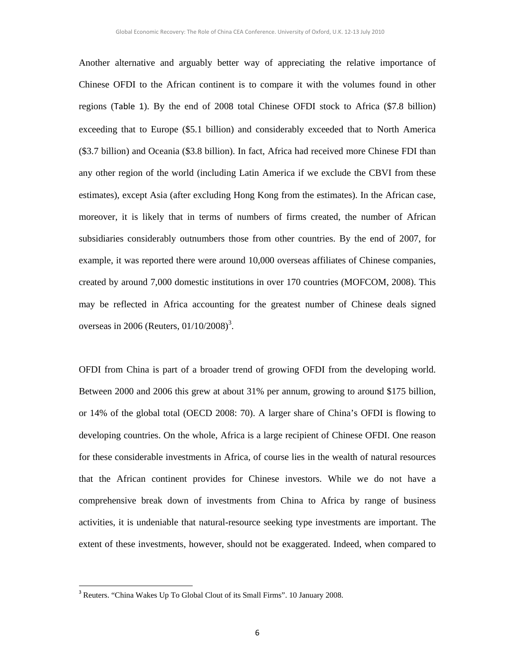Another alternative and arguably better way of appreciating the relative importance of Chinese OFDI to the African continent is to compare it with the volumes found in other regions (Table 1). By the end of 2008 total Chinese OFDI stock to Africa (\$7.8 billion) exceeding that to Europe (\$5.1 billion) and considerably exceeded that to North America (\$3.7 billion) and Oceania (\$3.8 billion). In fact, Africa had received more Chinese FDI than any other region of the world (including Latin America if we exclude the CBVI from these estimates), except Asia (after excluding Hong Kong from the estimates). In the African case, moreover, it is likely that in terms of numbers of firms created, the number of African subsidiaries considerably outnumbers those from other countries. By the end of 2007, for example, it was reported there were around 10,000 overseas affiliates of Chinese companies, created by around 7,000 domestic institutions in over 170 countries (MOFCOM, 2008). This may be reflected in Africa accounting for the greatest number of Chinese deals signed overseas in 2006 (Reuters,  $01/10/2008$ )<sup>3</sup>.

OFDI from China is part of a broader trend of growing OFDI from the developing world. Between 2000 and 2006 this grew at about 31% per annum, growing to around \$175 billion, or 14% of the global total (OECD 2008: 70). A larger share of China's OFDI is flowing to developing countries. On the whole, Africa is a large recipient of Chinese OFDI. One reason for these considerable investments in Africa, of course lies in the wealth of natural resources that the African continent provides for Chinese investors. While we do not have a comprehensive break down of investments from China to Africa by range of business activities, it is undeniable that natural-resource seeking type investments are important. The extent of these investments, however, should not be exaggerated. Indeed, when compared to

<sup>&</sup>lt;sup>3</sup> Reuters. "China Wakes Up To Global Clout of its Small Firms". 10 January 2008.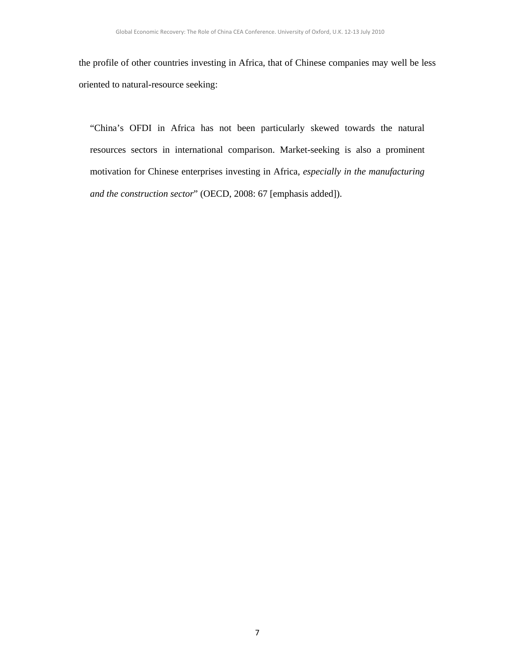the profile of other countries investing in Africa, that of Chinese companies may well be less oriented to natural-resource seeking:

"China's OFDI in Africa has not been particularly skewed towards the natural resources sectors in international comparison. Market-seeking is also a prominent motivation for Chinese enterprises investing in Africa, *especially in the manufacturing and the construction sector*" (OECD, 2008: 67 [emphasis added]).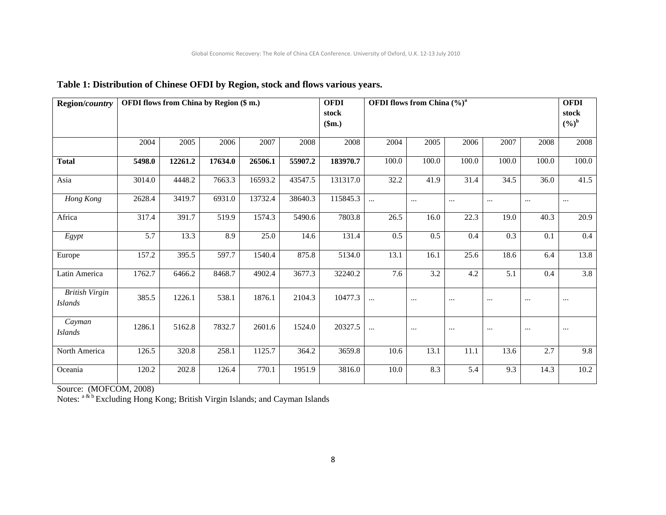| Region/country                          |                  |         | OFDI flows from China by Region (\$ m.) |         |         | <b>OFDI</b><br>stock<br>\$m.) | OFDI flows from China $(\%)^a$ |                  |          |                  |          | <b>OFDI</b><br>stock<br>$(9/0)^{b}$ |
|-----------------------------------------|------------------|---------|-----------------------------------------|---------|---------|-------------------------------|--------------------------------|------------------|----------|------------------|----------|-------------------------------------|
|                                         | 2004             | 2005    | 2006                                    | 2007    | 2008    | 2008                          | 2004                           | 2005             | 2006     | 2007             | 2008     | 2008                                |
| <b>Total</b>                            | 5498.0           | 12261.2 | 17634.0                                 | 26506.1 | 55907.2 | 183970.7                      | 100.0                          | 100.0            | 100.0    | 100.0            | 100.0    | 100.0                               |
| Asia                                    | 3014.0           | 4448.2  | 7663.3                                  | 16593.2 | 43547.5 | 131317.0                      | 32.2                           | 41.9             | 31.4     | 34.5             | 36.0     | 41.5                                |
| Hong Kong                               | 2628.4           | 3419.7  | 6931.0                                  | 13732.4 | 38640.3 | 115845.3                      | $\cdots$                       | $\ldots$         | $\cdots$ | $\cdots$         | $\cdots$ | $\cdots$                            |
| Africa                                  | 317.4            | 391.7   | 519.9                                   | 1574.3  | 5490.6  | 7803.8                        | 26.5                           | 16.0             | 22.3     | 19.0             | 40.3     | 20.9                                |
| Egypt                                   | $\overline{5.7}$ | 13.3    | 8.9                                     | 25.0    | 14.6    | 131.4                         | 0.5                            | 0.5              | 0.4      | 0.3              | 0.1      | $\overline{0.4}$                    |
| Europe                                  | 157.2            | 395.5   | 597.7                                   | 1540.4  | 875.8   | 5134.0                        | 13.1                           | 16.1             | 25.6     | 18.6             | 6.4      | 13.8                                |
| Latin America                           | 1762.7           | 6466.2  | 8468.7                                  | 4902.4  | 3677.3  | 32240.2                       | 7.6                            | $\overline{3.2}$ | 4.2      | $\overline{5.1}$ | 0.4      | $\overline{3.8}$                    |
| <b>British Virgin</b><br><b>Islands</b> | 385.5            | 1226.1  | 538.1                                   | 1876.1  | 2104.3  | 10477.3                       |                                | $\ldots$         | $\cdots$ | $\cdots$         | $\cdots$ | $\cdots$                            |
| Cayman<br><b>Islands</b>                | 1286.1           | 5162.8  | 7832.7                                  | 2601.6  | 1524.0  | 20327.5                       |                                | $\cdots$         | $\cdots$ | $\cdots$         | $\cdots$ | $\cdots$                            |
| North America                           | 126.5            | 320.8   | 258.1                                   | 1125.7  | 364.2   | 3659.8                        | 10.6                           | 13.1             | 11.1     | 13.6             | 2.7      | 9.8                                 |
| Oceania                                 | 120.2            | 202.8   | 126.4                                   | 770.1   | 1951.9  | 3816.0                        | 10.0                           | 8.3              | 5.4      | 9.3              | 14.3     | 10.2                                |

# **Table 1: Distribution of Chinese OFDI by Region, stock and flows various years.**

Source: (MOFCOM, 2008)

Notes: <sup>a & b</sup> Excluding Hong Kong; British Virgin Islands; and Cayman Islands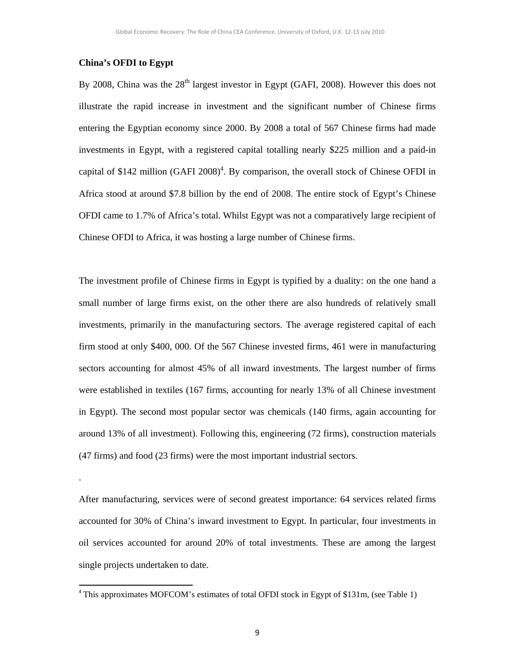### **China's OFDI to Egypt**

.

By 2008, China was the  $28<sup>th</sup>$  largest investor in Egypt (GAFI, 2008). However this does not illustrate the rapid increase in investment and the significant number of Chinese firms entering the Egyptian economy since 2000. By 2008 a total of 567 Chinese firms had made investments in Egypt, with a registered capital totalling nearly \$225 million and a paid-in capital of \$142 million  $(GAFI 2008)^4$ . By comparison, the overall stock of Chinese OFDI in Africa stood at around \$7.8 billion by the end of 2008. The entire stock of Egypt's Chinese OFDI came to 1.7% of Africa's total. Whilst Egypt was not a comparatively large recipient of Chinese OFDI to Africa, it was hosting a large number of Chinese firms.

The investment profile of Chinese firms in Egypt is typified by a duality: on the one hand a small number of large firms exist, on the other there are also hundreds of relatively small investments, primarily in the manufacturing sectors. The average registered capital of each firm stood at only \$400, 000. Of the 567 Chinese invested firms, 461 were in manufacturing sectors accounting for almost 45% of all inward investments. The largest number of firms were established in textiles (167 firms, accounting for nearly 13% of all Chinese investment in Egypt). The second most popular sector was chemicals (140 firms, again accounting for around 13% of all investment). Following this, engineering (72 firms), construction materials (47 firms) and food (23 firms) were the most important industrial sectors.

After manufacturing, services were of second greatest importance: 64 services related firms accounted for 30% of China's inward investment to Egypt. In particular, four investments in oil services accounted for around 20% of total investments. These are among the largest single projects undertaken to date.

<sup>4</sup> This approximates MOFCOM's estimates of total OFDI stock in Egypt of \$131m, (see Table 1)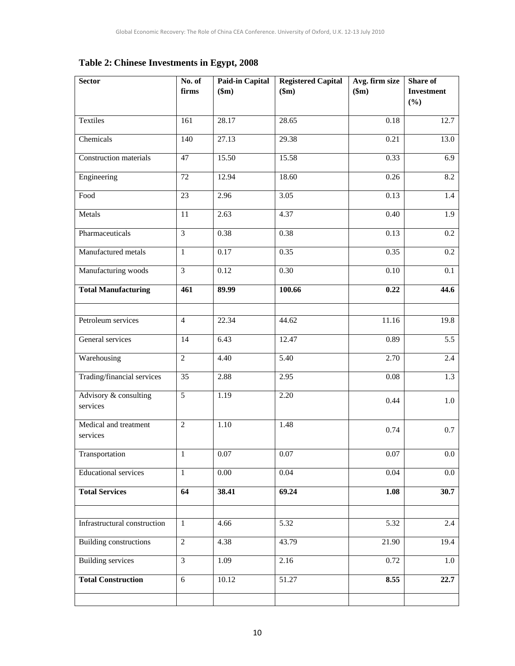**Table 2: Chinese Investments in Egypt, 2008** 

| <b>Sector</b>                     | No. of         | <b>Paid-in Capital</b> | <b>Registered Capital</b> | Avg. firm size | Share of                 |  |
|-----------------------------------|----------------|------------------------|---------------------------|----------------|--------------------------|--|
|                                   | firms          | \$m\$                  | \$m\$                     | \$m\$          | <b>Investment</b><br>(%) |  |
|                                   |                |                        |                           |                |                          |  |
| Textiles                          | 161            | 28.17                  | 28.65                     | 0.18           | 12.7                     |  |
| Chemicals                         | 140            | 27.13                  | 29.38                     | 0.21           | 13.0                     |  |
| Construction materials            | 47             | 15.50                  | 15.58                     | 0.33           | 6.9                      |  |
| Engineering                       | $72\,$         | 12.94                  | 18.60                     | 0.26           | 8.2                      |  |
| Food                              | 23             | 2.96                   | 3.05                      | 0.13           | 1.4                      |  |
| Metals                            | 11             | 2.63                   | 4.37                      | 0.40           | 1.9                      |  |
| Pharmaceuticals                   | $\overline{3}$ | 0.38                   | 0.38                      | 0.13           | 0.2                      |  |
| Manufactured metals               | $\mathbf{1}$   | 0.17                   | 0.35                      | 0.35           | $\overline{0.2}$         |  |
| Manufacturing woods               | $\overline{3}$ | 0.12                   | 0.30                      | 0.10           | 0.1                      |  |
| <b>Total Manufacturing</b>        | 461            | 89.99                  | 100.66                    | 0.22           | 44.6                     |  |
|                                   |                |                        |                           |                |                          |  |
| Petroleum services                | $\overline{4}$ | 22.34                  | 44.62                     | 11.16          | 19.8                     |  |
| General services                  | 14             | 6.43                   | 12.47                     | 0.89           | 5.5                      |  |
| Warehousing                       | $\overline{2}$ | 4.40                   | 5.40                      | 2.70           | 2.4                      |  |
| Trading/financial services        | 35             | 2.88                   | 2.95                      | 0.08           | $\overline{1.3}$         |  |
| Advisory & consulting<br>services | 5              | 1.19                   | 2.20                      | 0.44           | $1.0\,$                  |  |
| Medical and treatment             | $\overline{2}$ | 1.10                   | 1.48                      | 0.74           | 0.7                      |  |
| services                          |                |                        |                           |                |                          |  |
| Transportation                    | $\,1$          | 0.07                   | 0.07                      | 0.07           | 0.0                      |  |
| <b>Educational services</b>       | $\mathbf{1}$   | 0.00                   | 0.04                      | 0.04           | 0.0                      |  |
| <b>Total Services</b>             | 64             | 38.41                  | 69.24                     | 1.08           | 30.7                     |  |
|                                   |                |                        |                           |                |                          |  |
| Infrastructural construction      | $\mathbf{1}$   | 4.66                   | $\overline{5.32}$         | 5.32           | 2.4                      |  |
| <b>Building constructions</b>     | $\overline{2}$ | 4.38                   | 43.79                     | 21.90          | 19.4                     |  |
| <b>Building services</b>          | $\overline{3}$ | 1.09                   | 2.16                      | 0.72           | 1.0                      |  |
| <b>Total Construction</b>         | $\overline{6}$ | 10.12                  | 51.27                     | 8.55           | 22.7                     |  |
|                                   |                |                        |                           |                |                          |  |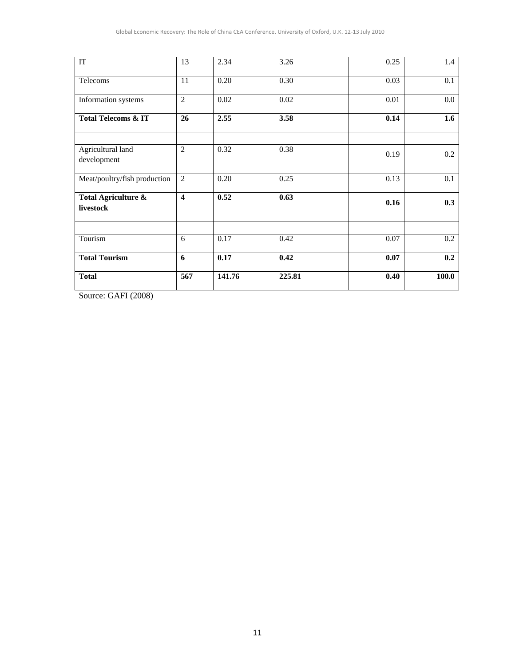| $\ensuremath{\mathsf{IT}}$       | 13                      | 2.34   | 3.26   | 0.25 | 1.4   |
|----------------------------------|-------------------------|--------|--------|------|-------|
| Telecoms                         | 11                      | 0.20   | 0.30   | 0.03 | 0.1   |
| Information systems              | $\overline{2}$          | 0.02   | 0.02   | 0.01 | 0.0   |
| <b>Total Telecoms &amp; IT</b>   | 26                      | 2.55   | 3.58   | 0.14 | 1.6   |
| Agricultural land<br>development | $\mathfrak{2}$          | 0.32   | 0.38   | 0.19 | 0.2   |
| Meat/poultry/fish production     | $\overline{2}$          | 0.20   | 0.25   | 0.13 | 0.1   |
| Total Agriculture &<br>livestock | $\overline{\mathbf{4}}$ | 0.52   | 0.63   | 0.16 | 0.3   |
| Tourism                          | 6                       | 0.17   | 0.42   | 0.07 | 0.2   |
| <b>Total Tourism</b>             | 6                       | 0.17   | 0.42   | 0.07 | 0.2   |
| <b>Total</b>                     | 567                     | 141.76 | 225.81 | 0.40 | 100.0 |

Source: GAFI (2008)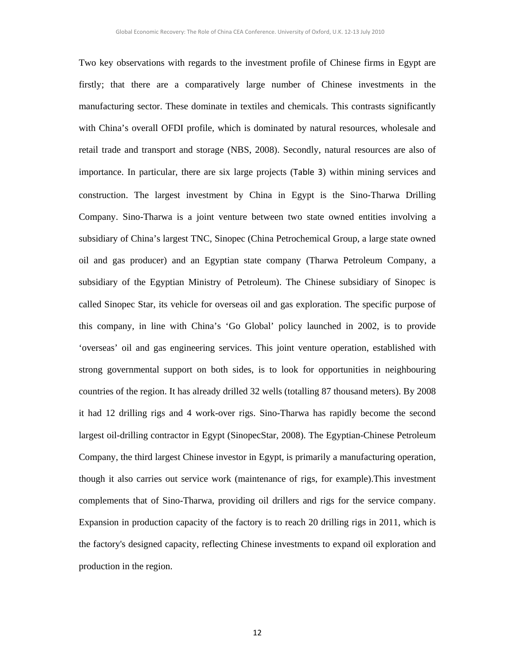Two key observations with regards to the investment profile of Chinese firms in Egypt are firstly; that there are a comparatively large number of Chinese investments in the manufacturing sector. These dominate in textiles and chemicals. This contrasts significantly with China's overall OFDI profile, which is dominated by natural resources, wholesale and retail trade and transport and storage (NBS, 2008). Secondly, natural resources are also of importance. In particular, there are six large projects (Table 3) within mining services and construction. The largest investment by China in Egypt is the Sino-Tharwa Drilling Company. Sino-Tharwa is a joint venture between two state owned entities involving a subsidiary of China's largest TNC, Sinopec (China Petrochemical Group, a large state owned oil and gas producer) and an Egyptian state company (Tharwa Petroleum Company, a subsidiary of the Egyptian Ministry of Petroleum). The Chinese subsidiary of Sinopec is called Sinopec Star, its vehicle for overseas oil and gas exploration. The specific purpose of this company, in line with China's 'Go Global' policy launched in 2002, is to provide 'overseas' oil and gas engineering services. This joint venture operation, established with strong governmental support on both sides, is to look for opportunities in neighbouring countries of the region. It has already drilled 32 wells (totalling 87 thousand meters). By 2008 it had 12 drilling rigs and 4 work-over rigs. Sino-Tharwa has rapidly become the second largest oil-drilling contractor in Egypt (SinopecStar, 2008). The Egyptian-Chinese Petroleum Company, the third largest Chinese investor in Egypt, is primarily a manufacturing operation, though it also carries out service work (maintenance of rigs, for example).This investment complements that of Sino-Tharwa, providing oil drillers and rigs for the service company. Expansion in production capacity of the factory is to reach 20 drilling rigs in 2011, which is the factory's designed capacity, reflecting Chinese investments to expand oil exploration and production in the region.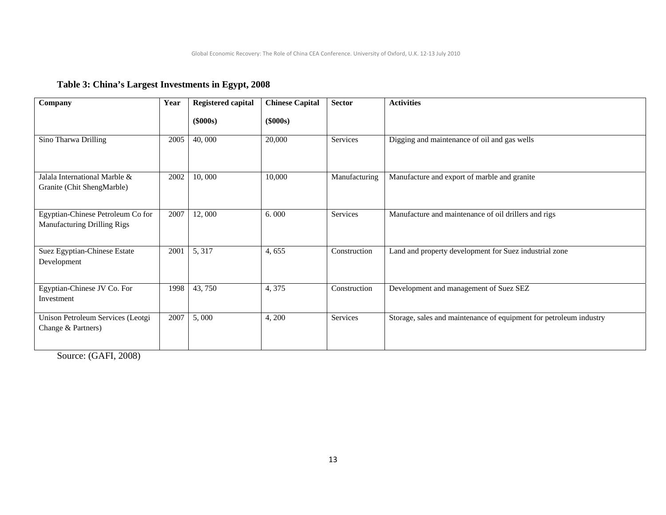# **Table 3: China's Largest Investments in Egypt, 2008**

| Company                                                                 | Year | <b>Registered capital</b> | <b>Chinese Capital</b> | <b>Sector</b> | <b>Activities</b>                                                  |
|-------------------------------------------------------------------------|------|---------------------------|------------------------|---------------|--------------------------------------------------------------------|
|                                                                         |      | $(\$000s)$                | $(\$000s)$             |               |                                                                    |
| Sino Tharwa Drilling                                                    | 2005 | 40,000                    | 20,000                 | Services      | Digging and maintenance of oil and gas wells                       |
| Jalala International Marble &<br>Granite (Chit ShengMarble)             | 2002 | 10,000                    | 10,000                 | Manufacturing | Manufacture and export of marble and granite                       |
| Egyptian-Chinese Petroleum Co for<br><b>Manufacturing Drilling Rigs</b> | 2007 | 12,000                    | 6.000                  | Services      | Manufacture and maintenance of oil drillers and rigs               |
| Suez Egyptian-Chinese Estate<br>Development                             | 2001 | 5, 317                    | 4,655                  | Construction  | Land and property development for Suez industrial zone             |
| Egyptian-Chinese JV Co. For<br>Investment                               | 1998 | 43,750                    | 4,375                  | Construction  | Development and management of Suez SEZ                             |
| Unison Petroleum Services (Leotgi<br>Change & Partners)                 | 2007 | 5,000                     | 4,200                  | Services      | Storage, sales and maintenance of equipment for petroleum industry |

Source: (GAFI, 2008)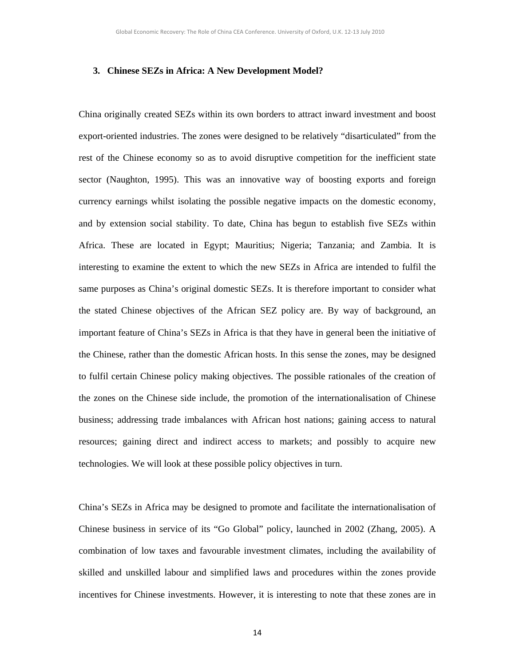#### **3. Chinese SEZs in Africa: A New Development Model?**

China originally created SEZs within its own borders to attract inward investment and boost export-oriented industries. The zones were designed to be relatively "disarticulated" from the rest of the Chinese economy so as to avoid disruptive competition for the inefficient state sector (Naughton, 1995). This was an innovative way of boosting exports and foreign currency earnings whilst isolating the possible negative impacts on the domestic economy, and by extension social stability. To date, China has begun to establish five SEZs within Africa. These are located in Egypt; Mauritius; Nigeria; Tanzania; and Zambia. It is interesting to examine the extent to which the new SEZs in Africa are intended to fulfil the same purposes as China's original domestic SEZs. It is therefore important to consider what the stated Chinese objectives of the African SEZ policy are. By way of background, an important feature of China's SEZs in Africa is that they have in general been the initiative of the Chinese, rather than the domestic African hosts. In this sense the zones, may be designed to fulfil certain Chinese policy making objectives. The possible rationales of the creation of the zones on the Chinese side include, the promotion of the internationalisation of Chinese business; addressing trade imbalances with African host nations; gaining access to natural resources; gaining direct and indirect access to markets; and possibly to acquire new technologies. We will look at these possible policy objectives in turn.

China's SEZs in Africa may be designed to promote and facilitate the internationalisation of Chinese business in service of its "Go Global" policy, launched in 2002 (Zhang, 2005). A combination of low taxes and favourable investment climates, including the availability of skilled and unskilled labour and simplified laws and procedures within the zones provide incentives for Chinese investments. However, it is interesting to note that these zones are in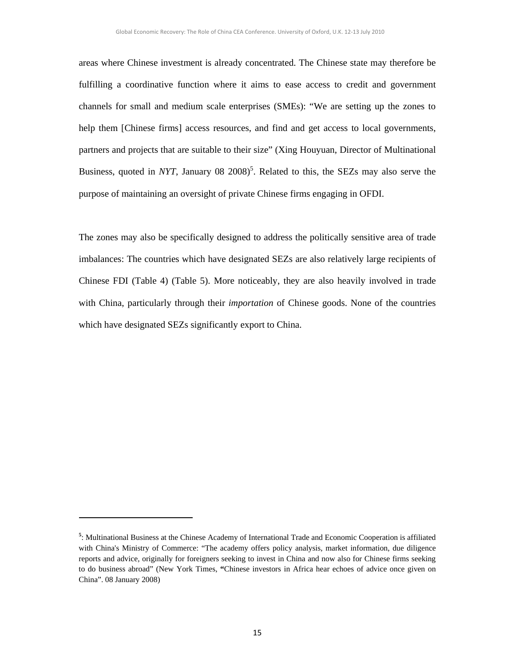areas where Chinese investment is already concentrated. The Chinese state may therefore be fulfilling a coordinative function where it aims to ease access to credit and government channels for small and medium scale enterprises (SMEs): "We are setting up the zones to help them [Chinese firms] access resources, and find and get access to local governments, partners and projects that are suitable to their size" (Xing Houyuan, Director of Multinational Business, quoted in *NYT*, January 08  $2008$ <sup>5</sup>. Related to this, the SEZs may also serve the purpose of maintaining an oversight of private Chinese firms engaging in OFDI.

The zones may also be specifically designed to address the politically sensitive area of trade imbalances: The countries which have designated SEZs are also relatively large recipients of Chinese FDI (Table 4) (Table 5). More noticeably, they are also heavily involved in trade with China, particularly through their *importation* of Chinese goods. None of the countries which have designated SEZs significantly export to China.

<sup>&</sup>lt;sup>5</sup>: Multinational Business at the Chinese Academy of International Trade and Economic Cooperation is affiliated with China's Ministry of Commerce: "The academy offers policy analysis, market information, due diligence reports and advice, originally for foreigners seeking to invest in China and now also for Chinese firms seeking to do business abroad" (New York Times, **"**Chinese investors in Africa hear echoes of advice once given on China". 08 January 2008)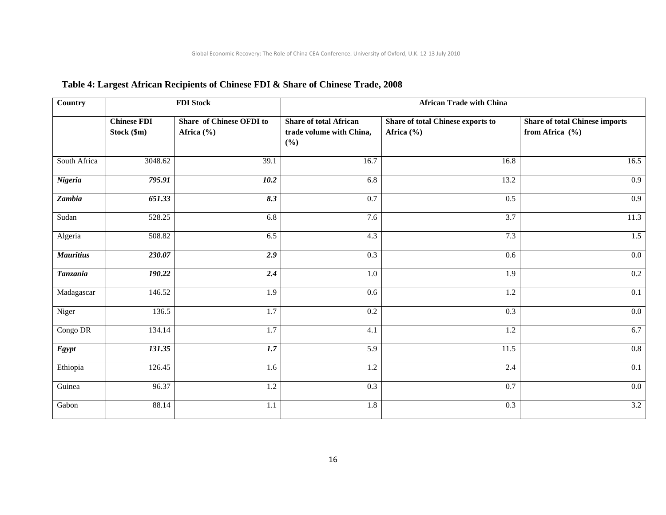| Country          |                                   | <b>FDI Stock</b>                           | <b>African Trade with China</b>                                  |                                                 |                                                              |  |  |  |  |  |
|------------------|-----------------------------------|--------------------------------------------|------------------------------------------------------------------|-------------------------------------------------|--------------------------------------------------------------|--|--|--|--|--|
|                  | <b>Chinese FDI</b><br>Stock (\$m) | Share of Chinese OFDI to<br>Africa $(\% )$ | <b>Share of total African</b><br>trade volume with China,<br>(%) | Share of total Chinese exports to<br>Africa (%) | <b>Share of total Chinese imports</b><br>from Africa $(\% )$ |  |  |  |  |  |
| South Africa     | 3048.62                           | 39.1                                       | 16.7                                                             | 16.8                                            | 16.5                                                         |  |  |  |  |  |
| Nigeria          | 795.91                            | 10.2                                       | 6.8                                                              | 13.2                                            | $\overline{0.9}$                                             |  |  |  |  |  |
| Zambia           | 651.33                            | 8.3                                        | $\overline{0.7}$                                                 | $\overline{0.5}$                                | $\overline{0.9}$                                             |  |  |  |  |  |
| Sudan            | 528.25                            | 6.8                                        | 7.6                                                              | 3.7                                             | 11.3                                                         |  |  |  |  |  |
| Algeria          | 508.82                            | 6.5                                        | 4.3                                                              | 7.3                                             | 1.5                                                          |  |  |  |  |  |
| <b>Mauritius</b> | 230.07                            | 2.9                                        | 0.3                                                              | 0.6                                             | $0.0\,$                                                      |  |  |  |  |  |
| <b>Tanzania</b>  | 190.22                            | 2.4                                        | 1.0                                                              | 1.9                                             | 0.2                                                          |  |  |  |  |  |
| Madagascar       | 146.52                            | 1.9                                        | 0.6                                                              | 1.2                                             | 0.1                                                          |  |  |  |  |  |
| Niger            | 136.5                             | $\overline{1.7}$                           | $\overline{0.2}$                                                 | $\overline{0.3}$                                | 0.0                                                          |  |  |  |  |  |
| Congo DR         | 134.14                            | $\overline{1.7}$                           | 4.1                                                              | $1.2\,$                                         | 6.7                                                          |  |  |  |  |  |
| Egypt            | 131.35                            | 1.7                                        | $\overline{5.9}$                                                 | 11.5                                            | 0.8                                                          |  |  |  |  |  |
| Ethiopia         | 126.45                            | 1.6                                        | 1.2                                                              | 2.4                                             | 0.1                                                          |  |  |  |  |  |
| Guinea           | 96.37                             | 1.2                                        | 0.3                                                              | 0.7                                             | $0.0\,$                                                      |  |  |  |  |  |
| Gabon            | 88.14                             | 1.1                                        | 1.8                                                              | $\overline{0.3}$                                | 3.2                                                          |  |  |  |  |  |

# **Table 4: Largest African Recipients of Chinese FDI & Share of Chinese Trade, 2008**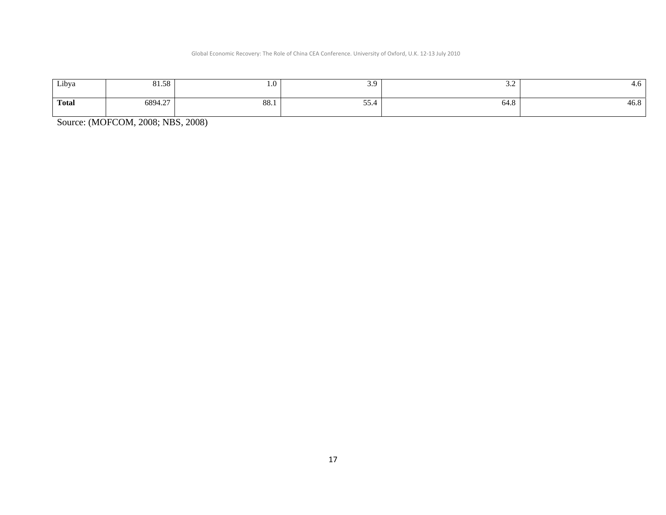#### Global Economic Recovery: The Role of China CEA Conference. University of Oxford, U.K. 12‐13 July 2010

| Libya        | 81.58   | $\mathbf{1} \cdot \mathbf{U}$ | . .<br>J.J    | ىندە ب      | T.V  |
|--------------|---------|-------------------------------|---------------|-------------|------|
| <b>Total</b> | 6894.27 | $\overline{O}O$<br>00.1       | $- -$<br>33.4 | <b>04.0</b> | 40.O |

Source: (MOFCOM, 2008; NBS, 2008)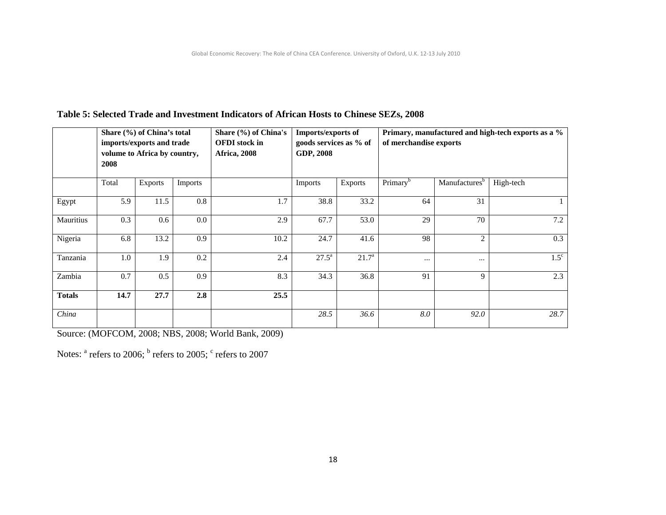|               | Share (%) of China's total<br>imports/exports and trade<br>volume to Africa by country,<br>2008 |                | Share (%) of China's<br><b>OFDI</b> stock in<br><b>Africa</b> , 2008 |      | Imports/exports of<br>goods services as % of<br>GDP, 2008 |                | Primary, manufactured and high-tech exports as a %<br>of merchandise exports |                           |             |  |
|---------------|-------------------------------------------------------------------------------------------------|----------------|----------------------------------------------------------------------|------|-----------------------------------------------------------|----------------|------------------------------------------------------------------------------|---------------------------|-------------|--|
|               | Total                                                                                           | <b>Exports</b> | <b>Imports</b>                                                       |      | Imports                                                   | Exports        | Primary <sup>b</sup>                                                         | Manufactures <sup>b</sup> | High-tech   |  |
| Egypt         | 5.9                                                                                             | 11.5           | 0.8                                                                  | 1.7  | 38.8                                                      | 33.2           | 64                                                                           | 31                        |             |  |
| Mauritius     | 0.3                                                                                             | 0.6            | 0.0                                                                  | 2.9  | 67.7                                                      | 53.0           | 29                                                                           | 70                        | 7.2         |  |
| Nigeria       | 6.8                                                                                             | 13.2           | 0.9                                                                  | 10.2 | 24.7                                                      | 41.6           | 98                                                                           | $\overline{2}$            | 0.3         |  |
| Tanzania      | 1.0                                                                                             | 1.9            | 0.2                                                                  | 2.4  | $27.5^{\rm a}$                                            | $21.7^{\circ}$ | $\cdots$                                                                     | $\cdots$                  | $1.5^\circ$ |  |
| Zambia        | 0.7                                                                                             | 0.5            | 0.9                                                                  | 8.3  | 34.3                                                      | 36.8           | 91                                                                           | 9                         | 2.3         |  |
| <b>Totals</b> | 14.7                                                                                            | 27.7           | 2.8                                                                  | 25.5 |                                                           |                |                                                                              |                           |             |  |
| China         |                                                                                                 |                |                                                                      |      | 28.5                                                      | 36.6           | 8.0                                                                          | 92.0                      | 28.7        |  |

# **Table 5: Selected Trade and Investment Indicators of African Hosts to Chinese SEZs, 2008**

Source: (MOFCOM, 2008; NBS, 2008; World Bank, 2009)

Notes:  $a$  refers to 2006;  $b$  refers to 2005;  $c$  refers to 2007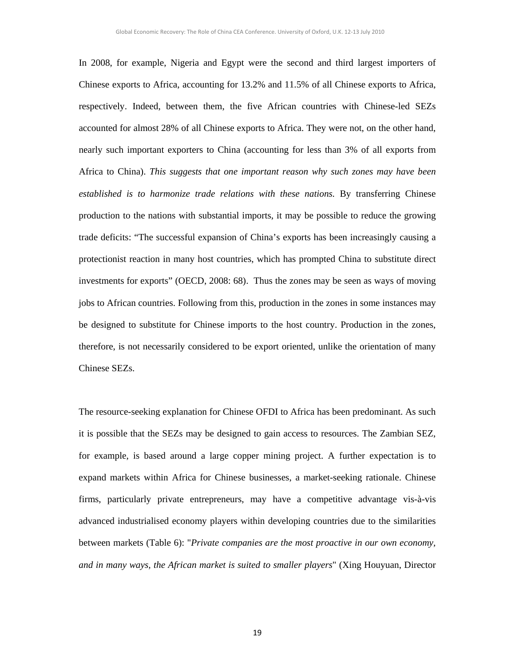In 2008, for example, Nigeria and Egypt were the second and third largest importers of Chinese exports to Africa, accounting for 13.2% and 11.5% of all Chinese exports to Africa, respectively. Indeed, between them, the five African countries with Chinese-led SEZs accounted for almost 28% of all Chinese exports to Africa. They were not, on the other hand, nearly such important exporters to China (accounting for less than 3% of all exports from Africa to China). *This suggests that one important reason why such zones may have been*  established is to harmonize trade relations with these nations. By transferring Chinese production to the nations with substantial imports, it may be possible to reduce the growing trade deficits: "The successful expansion of China's exports has been increasingly causing a protectionist reaction in many host countries, which has prompted China to substitute direct investments for exports" (OECD, 2008: 68). Thus the zones may be seen as ways of moving jobs to African countries. Following from this, production in the zones in some instances may be designed to substitute for Chinese imports to the host country. Production in the zones, therefore, is not necessarily considered to be export oriented, unlike the orientation of many Chinese SEZs.

The resource-seeking explanation for Chinese OFDI to Africa has been predominant. As such it is possible that the SEZs may be designed to gain access to resources. The Zambian SEZ, for example, is based around a large copper mining project. A further expectation is to expand markets within Africa for Chinese businesses, a market-seeking rationale. Chinese firms, particularly private entrepreneurs, may have a competitive advantage vis-à-vis advanced industrialised economy players within developing countries due to the similarities between markets (Table 6): "*Private companies are the most proactive in our own economy, and in many ways, the African market is suited to smaller players*" (Xing Houyuan, Director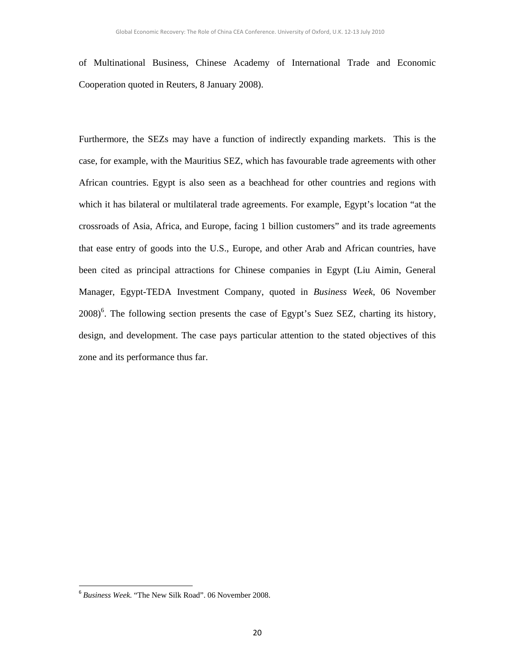of Multinational Business, Chinese Academy of International Trade and Economic Cooperation quoted in Reuters, 8 January 2008).

Furthermore, the SEZs may have a function of indirectly expanding markets. This is the case, for example, with the Mauritius SEZ, which has favourable trade agreements with other African countries. Egypt is also seen as a beachhead for other countries and regions with which it has bilateral or multilateral trade agreements. For example, Egypt's location "at the crossroads of Asia, Africa, and Europe, facing 1 billion customers" and its trade agreements that ease entry of goods into the U.S., Europe, and other Arab and African countries, have been cited as principal attractions for Chinese companies in Egypt (Liu Aimin, General Manager, Egypt-TEDA Investment Company, quoted in *Business Week*, 06 November  $2008$ <sup>6</sup>. The following section presents the case of Egypt's Suez SEZ, charting its history, design, and development. The case pays particular attention to the stated objectives of this zone and its performance thus far.

<sup>6</sup> *Business Week*. "The New Silk Road". 06 November 2008.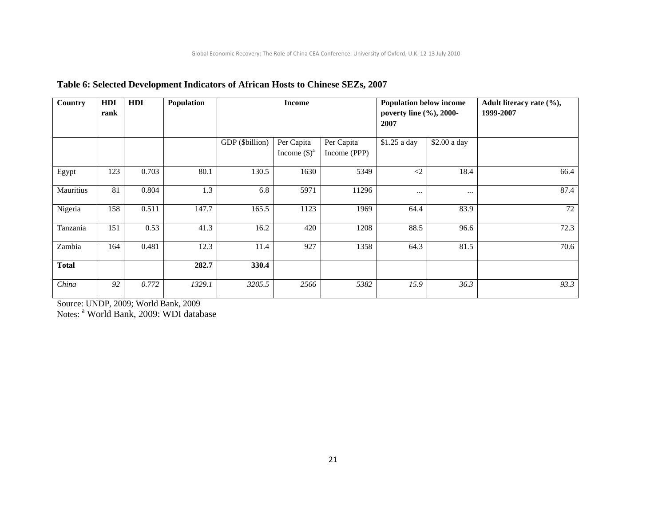| Country      | HDI<br>rank | HDI   | Population |                 | <b>Income</b>                        |                            | <b>Population below income</b><br>poverty line (%), 2000-<br>2007 |              | Adult literacy rate (%),<br>1999-2007 |
|--------------|-------------|-------|------------|-----------------|--------------------------------------|----------------------------|-------------------------------------------------------------------|--------------|---------------------------------------|
|              |             |       |            | GDP (\$billion) | Per Capita<br>Income $(\text{\$})^a$ | Per Capita<br>Income (PPP) | \$1.25 a day                                                      | \$2.00 a day |                                       |
| Egypt        | 123         | 0.703 | 80.1       | 130.5           | 1630                                 | 5349                       | $\langle 2 \rangle$                                               | 18.4         | 66.4                                  |
| Mauritius    | 81          | 0.804 | 1.3        | 6.8             | 5971                                 | 11296                      | $\cdots$                                                          | $\cdots$     | 87.4                                  |
| Nigeria      | 158         | 0.511 | 147.7      | 165.5           | 1123                                 | 1969                       | 64.4                                                              | 83.9         | 72                                    |
| Tanzania     | 151         | 0.53  | 41.3       | 16.2            | 420                                  | 1208                       | 88.5                                                              | 96.6         | 72.3                                  |
| Zambia       | 164         | 0.481 | 12.3       | 11.4            | 927                                  | 1358                       | 64.3                                                              | 81.5         | 70.6                                  |
| <b>Total</b> |             |       | 282.7      | 330.4           |                                      |                            |                                                                   |              |                                       |
| China        | 92          | 0.772 | 1329.1     | 3205.5          | 2566                                 | 5382                       | 15.9                                                              | 36.3         | 93.3                                  |

# **Table 6: Selected Development Indicators of African Hosts to Chinese SEZs, 2007**

Source: UNDP, 2009; World Bank, 2009

Notes: <sup>a</sup> World Bank, 2009: WDI database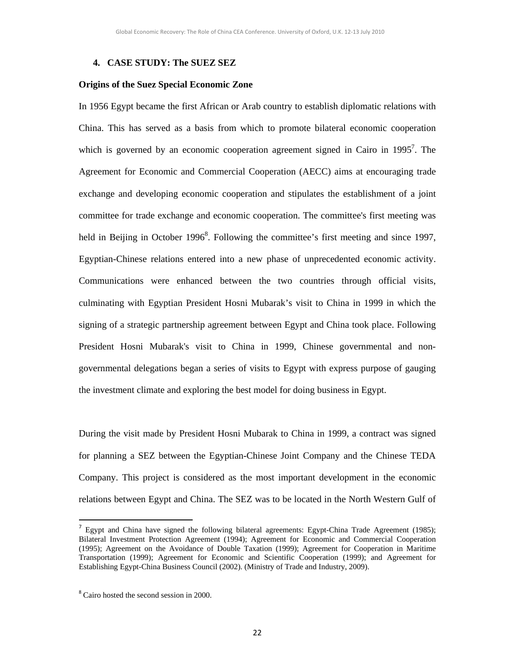#### **4. CASE STUDY: The SUEZ SEZ**

#### **Origins of the Suez Special Economic Zone**

In 1956 Egypt became the first African or Arab country to establish diplomatic relations with China. This has served as a basis from which to promote bilateral economic cooperation which is governed by an economic cooperation agreement signed in Cairo in  $1995^7$ . The Agreement for Economic and Commercial Cooperation (AECC) aims at encouraging trade exchange and developing economic cooperation and stipulates the establishment of a joint committee for trade exchange and economic cooperation. The committee's first meeting was held in Beijing in October 1996<sup>8</sup>. Following the committee's first meeting and since 1997, Egyptian-Chinese relations entered into a new phase of unprecedented economic activity. Communications were enhanced between the two countries through official visits, culminating with Egyptian President Hosni Mubarak's visit to China in 1999 in which the signing of a strategic partnership agreement between Egypt and China took place. Following President Hosni Mubarak's visit to China in 1999, Chinese governmental and nongovernmental delegations began a series of visits to Egypt with express purpose of gauging the investment climate and exploring the best model for doing business in Egypt.

During the visit made by President Hosni Mubarak to China in 1999, a contract was signed for planning a SEZ between the Egyptian-Chinese Joint Company and the Chinese TEDA Company. This project is considered as the most important development in the economic relations between Egypt and China. The SEZ was to be located in the North Western Gulf of

<sup>&</sup>lt;sup>7</sup> Egypt and China have signed the following bilateral agreements: Egypt-China Trade Agreement (1985); Bilateral Investment Protection Agreement (1994); Agreement for Economic and Commercial Cooperation (1995); Agreement on the Avoidance of Double Taxation (1999); Agreement for Cooperation in Maritime Transportation (1999); Agreement for Economic and Scientific Cooperation (1999); and Agreement for Establishing Egypt-China Business Council (2002). (Ministry of Trade and Industry, 2009).

<sup>&</sup>lt;sup>8</sup> Cairo hosted the second session in 2000.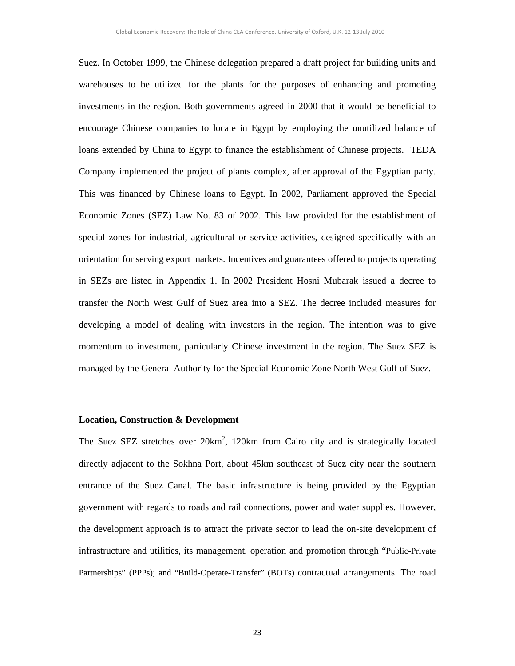Suez. In October 1999, the Chinese delegation prepared a draft project for building units and warehouses to be utilized for the plants for the purposes of enhancing and promoting investments in the region. Both governments agreed in 2000 that it would be beneficial to encourage Chinese companies to locate in Egypt by employing the unutilized balance of loans extended by China to Egypt to finance the establishment of Chinese projects. TEDA Company implemented the project of plants complex, after approval of the Egyptian party. This was financed by Chinese loans to Egypt. In 2002, Parliament approved the Special Economic Zones (SEZ) Law No. 83 of 2002. This law provided for the establishment of special zones for industrial, agricultural or service activities, designed specifically with an orientation for serving export markets. Incentives and guarantees offered to projects operating in SEZs are listed in Appendix 1. In 2002 President Hosni Mubarak issued a decree to transfer the North West Gulf of Suez area into a SEZ. The decree included measures for developing a model of dealing with investors in the region. The intention was to give momentum to investment, particularly Chinese investment in the region. The Suez SEZ is managed by the General Authority for the Special Economic Zone North West Gulf of Suez.

#### **Location, Construction & Development**

The Suez SEZ stretches over  $20 \text{km}^2$ , 120km from Cairo city and is strategically located directly adjacent to the Sokhna Port, about 45km southeast of Suez city near the southern entrance of the Suez Canal. The basic infrastructure is being provided by the Egyptian government with regards to roads and rail connections, power and water supplies. However, the development approach is to attract the private sector to lead the on-site development of infrastructure and utilities, its management, operation and promotion through "Public-Private Partnerships" (PPPs); and "Build-Operate-Transfer" (BOTs) contractual arrangements. The road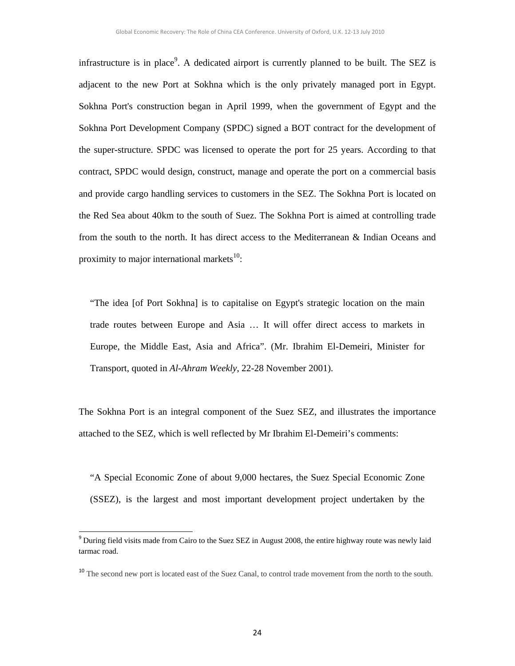infrastructure is in place<sup>9</sup>. A dedicated airport is currently planned to be built. The SEZ is adjacent to the new Port at Sokhna which is the only privately managed port in Egypt. Sokhna Port's construction began in April 1999, when the government of Egypt and the Sokhna Port Development Company (SPDC) signed a BOT contract for the development of the super-structure. SPDC was licensed to operate the port for 25 years. According to that contract, SPDC would design, construct, manage and operate the port on a commercial basis and provide cargo handling services to customers in the SEZ. The Sokhna Port is located on the Red Sea about 40km to the south of Suez. The Sokhna Port is aimed at controlling trade from the south to the north. It has direct access to the Mediterranean & Indian Oceans and proximity to major international markets $^{10}$ :

"The idea [of Port Sokhna] is to capitalise on Egypt's strategic location on the main trade routes between Europe and Asia … It will offer direct access to markets in Europe, the Middle East, Asia and Africa". (Mr. Ibrahim El-Demeiri, Minister for Transport, quoted in *Al-Ahram Weekly*, 22-28 November 2001).

The Sokhna Port is an integral component of the Suez SEZ, and illustrates the importance attached to the SEZ, which is well reflected by Mr Ibrahim El-Demeiri's comments:

"A Special Economic Zone of about 9,000 hectares, the Suez Special Economic Zone (SSEZ), is the largest and most important development project undertaken by the

<sup>&</sup>lt;sup>9</sup> During field visits made from Cairo to the Suez SEZ in August 2008, the entire highway route was newly laid tarmac road.

<sup>&</sup>lt;sup>10</sup> The second new port is located east of the Suez Canal, to control trade movement from the north to the south.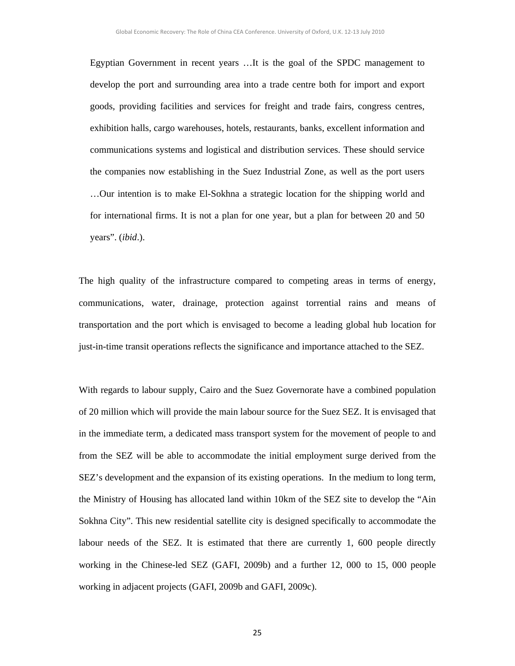Egyptian Government in recent years …It is the goal of the SPDC management to develop the port and surrounding area into a trade centre both for import and export goods, providing facilities and services for freight and trade fairs, congress centres, exhibition halls, cargo warehouses, hotels, restaurants, banks, excellent information and communications systems and logistical and distribution services. These should service the companies now establishing in the Suez Industrial Zone, as well as the port users …Our intention is to make El-Sokhna a strategic location for the shipping world and for international firms. It is not a plan for one year, but a plan for between 20 and 50 years". (*ibid*.).

The high quality of the infrastructure compared to competing areas in terms of energy, communications, water, drainage, protection against torrential rains and means of transportation and the port which is envisaged to become a leading global hub location for just-in-time transit operations reflects the significance and importance attached to the SEZ.

With regards to labour supply, Cairo and the Suez Governorate have a combined population of 20 million which will provide the main labour source for the Suez SEZ. It is envisaged that in the immediate term, a dedicated mass transport system for the movement of people to and from the SEZ will be able to accommodate the initial employment surge derived from the SEZ's development and the expansion of its existing operations. In the medium to long term, the Ministry of Housing has allocated land within 10km of the SEZ site to develop the "Ain Sokhna City". This new residential satellite city is designed specifically to accommodate the labour needs of the SEZ. It is estimated that there are currently 1, 600 people directly working in the Chinese-led SEZ (GAFI, 2009b) and a further 12, 000 to 15, 000 people working in adjacent projects (GAFI, 2009b and GAFI, 2009c).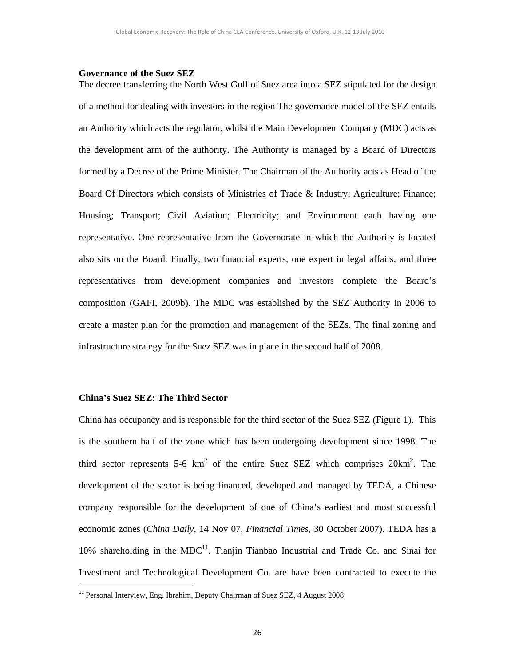#### **Governance of the Suez SEZ**

The decree transferring the North West Gulf of Suez area into a SEZ stipulated for the design of a method for dealing with investors in the region The governance model of the SEZ entails an Authority which acts the regulator, whilst the Main Development Company (MDC) acts as the development arm of the authority. The Authority is managed by a Board of Directors formed by a Decree of the Prime Minister. The Chairman of the Authority acts as Head of the Board Of Directors which consists of Ministries of Trade & Industry; Agriculture; Finance; Housing; Transport; Civil Aviation; Electricity; and Environment each having one representative. One representative from the Governorate in which the Authority is located also sits on the Board. Finally, two financial experts, one expert in legal affairs, and three representatives from development companies and investors complete the Board's composition (GAFI, 2009b). The MDC was established by the SEZ Authority in 2006 to create a master plan for the promotion and management of the SEZs. The final zoning and infrastructure strategy for the Suez SEZ was in place in the second half of 2008.

### **China's Suez SEZ: The Third Sector**

China has occupancy and is responsible for the third sector of the Suez SEZ (Figure 1). This is the southern half of the zone which has been undergoing development since 1998. The third sector represents 5-6  $km^2$  of the entire Suez SEZ which comprises  $20km^2$ . The development of the sector is being financed, developed and managed by TEDA, a Chinese company responsible for the development of one of China's earliest and most successful economic zones (*China Daily*, 14 Nov 07, *Financial Times*, 30 October 2007). TEDA has a  $10\%$  shareholding in the MDC<sup>11</sup>. Tianjin Tianbao Industrial and Trade Co. and Sinai for Investment and Technological Development Co. are have been contracted to execute the

<sup>&</sup>lt;sup>11</sup> Personal Interview, Eng. Ibrahim, Deputy Chairman of Suez SEZ, 4 August 2008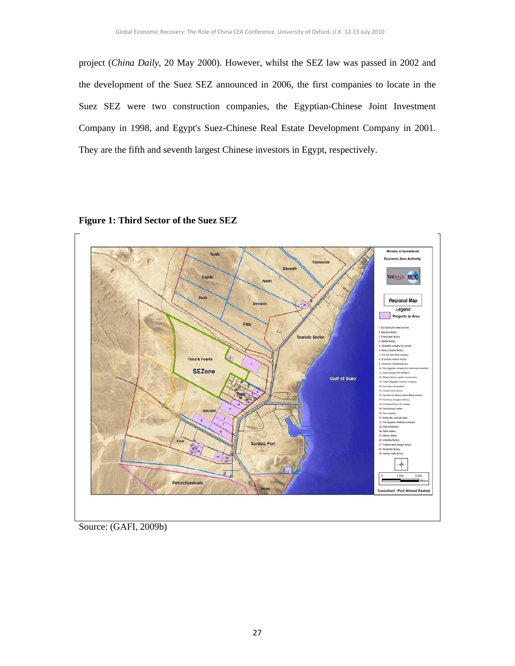project (*China Daily*, 20 May 2000). However, whilst the SEZ law was passed in 2002 and the development of the Suez SEZ announced in 2006, the first companies to locate in the Suez SEZ were two construction companies, the Egyptian-Chinese Joint Investment Company in 1998, and Egypt's Suez-Chinese Real Estate Development Company in 2001. They are the fifth and seventh largest Chinese investors in Egypt, respectively.





Source: (GAFI, 2009b)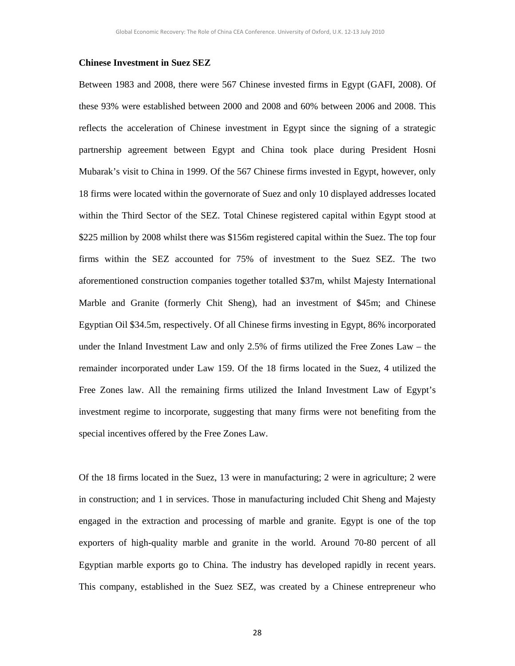#### **Chinese Investment in Suez SEZ**

Between 1983 and 2008, there were 567 Chinese invested firms in Egypt (GAFI, 2008). Of these 93% were established between 2000 and 2008 and 60% between 2006 and 2008. This reflects the acceleration of Chinese investment in Egypt since the signing of a strategic partnership agreement between Egypt and China took place during President Hosni Mubarak's visit to China in 1999. Of the 567 Chinese firms invested in Egypt, however, only 18 firms were located within the governorate of Suez and only 10 displayed addresses located within the Third Sector of the SEZ. Total Chinese registered capital within Egypt stood at \$225 million by 2008 whilst there was \$156m registered capital within the Suez. The top four firms within the SEZ accounted for 75% of investment to the Suez SEZ. The two aforementioned construction companies together totalled \$37m, whilst Majesty International Marble and Granite (formerly Chit Sheng), had an investment of \$45m; and Chinese Egyptian Oil \$34.5m, respectively. Of all Chinese firms investing in Egypt, 86% incorporated under the Inland Investment Law and only 2.5% of firms utilized the Free Zones Law – the remainder incorporated under Law 159. Of the 18 firms located in the Suez, 4 utilized the Free Zones law. All the remaining firms utilized the Inland Investment Law of Egypt's investment regime to incorporate, suggesting that many firms were not benefiting from the special incentives offered by the Free Zones Law.

Of the 18 firms located in the Suez, 13 were in manufacturing; 2 were in agriculture; 2 were in construction; and 1 in services. Those in manufacturing included Chit Sheng and Majesty engaged in the extraction and processing of marble and granite. Egypt is one of the top exporters of high-quality marble and granite in the world. Around 70-80 percent of all Egyptian marble exports go to China. The industry has developed rapidly in recent years. This company, established in the Suez SEZ, was created by a Chinese entrepreneur who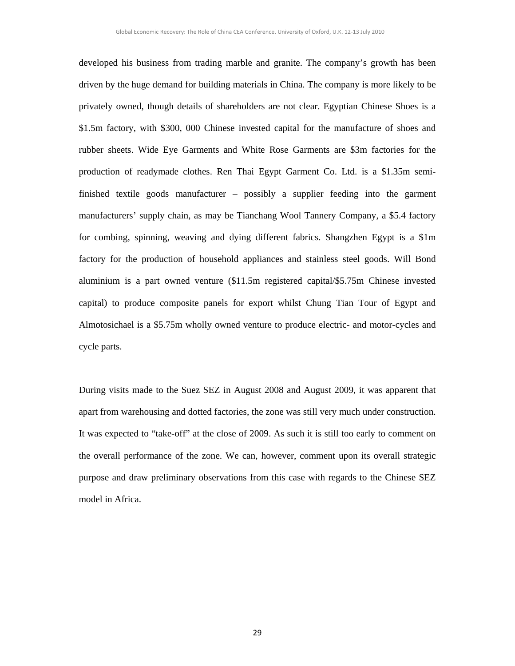developed his business from trading marble and granite. The company's growth has been driven by the huge demand for building materials in China. The company is more likely to be privately owned, though details of shareholders are not clear. Egyptian Chinese Shoes is a \$1.5m factory, with \$300, 000 Chinese invested capital for the manufacture of shoes and rubber sheets. Wide Eye Garments and White Rose Garments are \$3m factories for the production of readymade clothes. Ren Thai Egypt Garment Co. Ltd. is a \$1.35m semifinished textile goods manufacturer – possibly a supplier feeding into the garment manufacturers' supply chain, as may be Tianchang Wool Tannery Company, a \$5.4 factory for combing, spinning, weaving and dying different fabrics. Shangzhen Egypt is a \$1m factory for the production of household appliances and stainless steel goods. Will Bond aluminium is a part owned venture (\$11.5m registered capital/\$5.75m Chinese invested capital) to produce composite panels for export whilst Chung Tian Tour of Egypt and Almotosichael is a \$5.75m wholly owned venture to produce electric- and motor-cycles and cycle parts.

During visits made to the Suez SEZ in August 2008 and August 2009, it was apparent that apart from warehousing and dotted factories, the zone was still very much under construction. It was expected to "take-off" at the close of 2009. As such it is still too early to comment on the overall performance of the zone. We can, however, comment upon its overall strategic purpose and draw preliminary observations from this case with regards to the Chinese SEZ model in Africa.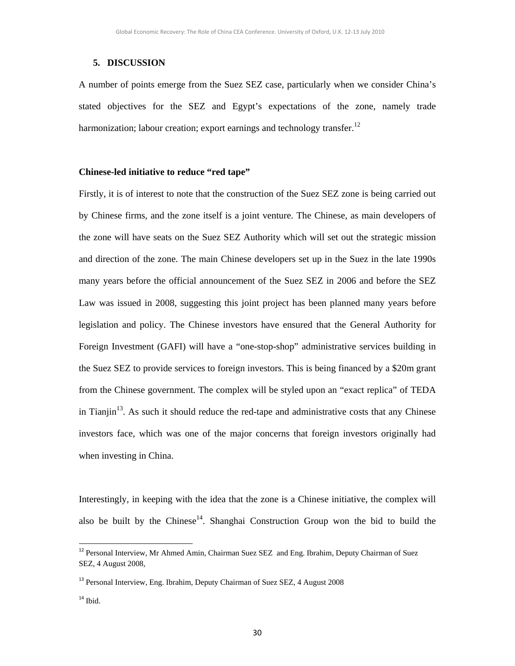### **5. DISCUSSION**

A number of points emerge from the Suez SEZ case, particularly when we consider China's stated objectives for the SEZ and Egypt's expectations of the zone, namely trade harmonization; labour creation; export earnings and technology transfer.<sup>12</sup>

### **Chinese-led initiative to reduce "red tape"**

Firstly, it is of interest to note that the construction of the Suez SEZ zone is being carried out by Chinese firms, and the zone itself is a joint venture. The Chinese, as main developers of the zone will have seats on the Suez SEZ Authority which will set out the strategic mission and direction of the zone. The main Chinese developers set up in the Suez in the late 1990s many years before the official announcement of the Suez SEZ in 2006 and before the SEZ Law was issued in 2008, suggesting this joint project has been planned many years before legislation and policy. The Chinese investors have ensured that the General Authority for Foreign Investment (GAFI) will have a "one-stop-shop" administrative services building in the Suez SEZ to provide services to foreign investors. This is being financed by a \$20m grant from the Chinese government. The complex will be styled upon an "exact replica" of TEDA in Tianjin<sup>13</sup>. As such it should reduce the red-tape and administrative costs that any Chinese investors face, which was one of the major concerns that foreign investors originally had when investing in China.

Interestingly, in keeping with the idea that the zone is a Chinese initiative, the complex will also be built by the Chinese<sup>14</sup>. Shanghai Construction Group won the bid to build the

<sup>&</sup>lt;sup>12</sup> Personal Interview, Mr Ahmed Amin, Chairman Suez SEZ and Eng. Ibrahim, Deputy Chairman of Suez SEZ, 4 August 2008,

<sup>&</sup>lt;sup>13</sup> Personal Interview, Eng. Ibrahim, Deputy Chairman of Suez SEZ, 4 August 2008

 $14$  Ibid.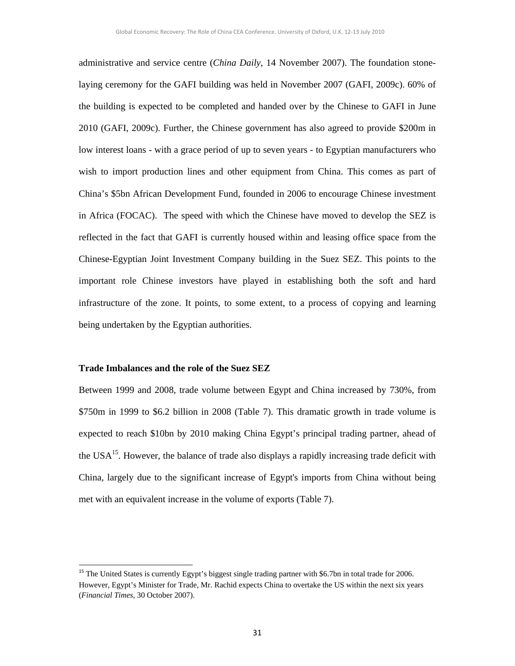administrative and service centre (*China Daily*, 14 November 2007). The foundation stonelaying ceremony for the GAFI building was held in November 2007 (GAFI, 2009c). 60% of the building is expected to be completed and handed over by the Chinese to GAFI in June 2010 (GAFI, 2009c). Further, the Chinese government has also agreed to provide \$200m in low interest loans - with a grace period of up to seven years - to Egyptian manufacturers who wish to import production lines and other equipment from China. This comes as part of China's \$5bn African Development Fund, founded in 2006 to encourage Chinese investment in Africa (FOCAC). The speed with which the Chinese have moved to develop the SEZ is reflected in the fact that GAFI is currently housed within and leasing office space from the Chinese-Egyptian Joint Investment Company building in the Suez SEZ. This points to the important role Chinese investors have played in establishing both the soft and hard infrastructure of the zone. It points, to some extent, to a process of copying and learning being undertaken by the Egyptian authorities.

#### **Trade Imbalances and the role of the Suez SEZ**

Between 1999 and 2008, trade volume between Egypt and China increased by 730%, from \$750m in 1999 to \$6.2 billion in 2008 (Table 7). This dramatic growth in trade volume is expected to reach \$10bn by 2010 making China Egypt's principal trading partner, ahead of the USA $<sup>15</sup>$ . However, the balance of trade also displays a rapidly increasing trade deficit with</sup> China, largely due to the significant increase of Egypt's imports from China without being met with an equivalent increase in the volume of exports (Table 7).

<sup>&</sup>lt;sup>15</sup> The United States is currently Egypt's biggest single trading partner with \$6.7bn in total trade for 2006. However, Egypt's Minister for Trade, Mr. Rachid expects China to overtake the US within the next six years (*Financial Times*, 30 October 2007).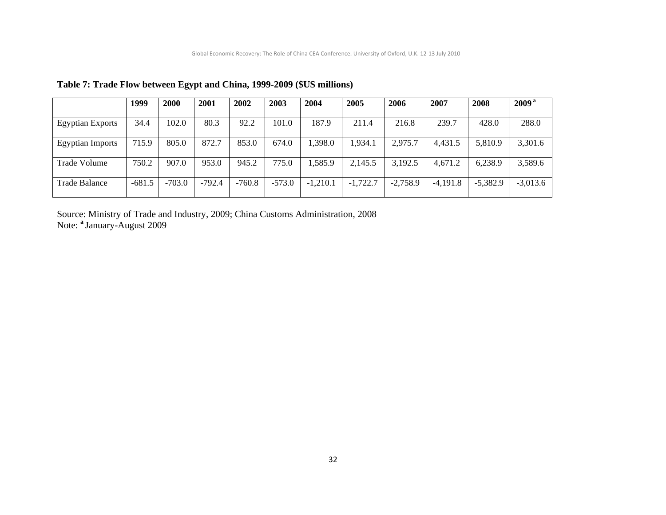|                         | 1999     | 2000     | 2001     | 2002     | 2003     | 2004       | 2005       | 2006       | 2007       | 2008       | 2009 <sup>a</sup> |
|-------------------------|----------|----------|----------|----------|----------|------------|------------|------------|------------|------------|-------------------|
| <b>Egyptian Exports</b> | 34.4     | 102.0    | 80.3     | 92.2     | 101.0    | 187.9      | 211.4      | 216.8      | 239.7      | 428.0      | 288.0             |
| <b>Egyptian Imports</b> | 715.9    | 805.0    | 872.7    | 853.0    | 674.0    | 1,398.0    | 1,934.1    | 2.975.7    | 4,431.5    | 5,810.9    | 3,301.6           |
| Trade Volume            | 750.2    | 907.0    | 953.0    | 945.2    | 775.0    | 1,585.9    | 2,145.5    | 3,192.5    | 4,671.2    | 6,238.9    | 3,589.6           |
| Trade Balance           | $-681.5$ | $-703.0$ | $-792.4$ | $-760.8$ | $-573.0$ | $-1,210.1$ | $-1,722.7$ | $-2,758.9$ | $-4.191.8$ | $-5,382.9$ | $-3,013.6$        |

**Table 7: Trade Flow between Egypt and China, 1999-2009 (\$US millions)** 

Source: Ministry of Trade and Industry, 2009; China Customs Administration, 2008 Note: **<sup>a</sup>**January-August 2009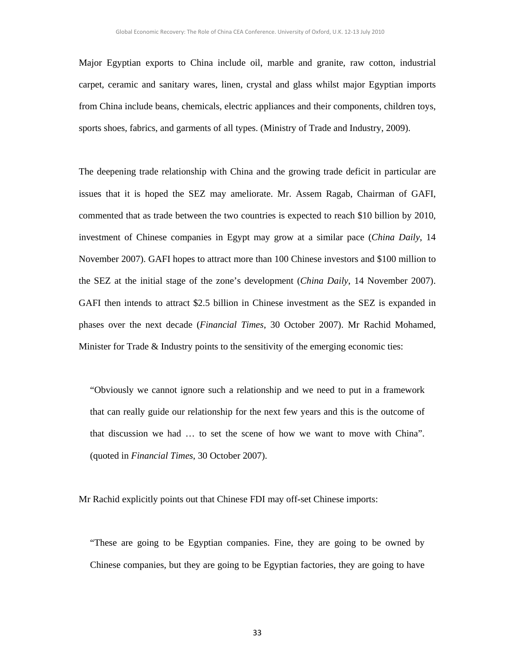Major Egyptian exports to China include oil, marble and granite, raw cotton, industrial carpet, ceramic and sanitary wares, linen, crystal and glass whilst major Egyptian imports from China include beans, chemicals, electric appliances and their components, children toys, sports shoes, fabrics, and garments of all types. (Ministry of Trade and Industry, 2009).

The deepening trade relationship with China and the growing trade deficit in particular are issues that it is hoped the SEZ may ameliorate. Mr. Assem Ragab, Chairman of GAFI, commented that as trade between the two countries is expected to reach \$10 billion by 2010, investment of Chinese companies in Egypt may grow at a similar pace (*China Daily*, 14 November 2007). GAFI hopes to attract more than 100 Chinese investors and \$100 million to the SEZ at the initial stage of the zone's development (*China Daily*, 14 November 2007). GAFI then intends to attract \$2.5 billion in Chinese investment as the SEZ is expanded in phases over the next decade (*Financial Times*, 30 October 2007). Mr Rachid Mohamed, Minister for Trade  $\&$  Industry points to the sensitivity of the emerging economic ties:

"Obviously we cannot ignore such a relationship and we need to put in a framework that can really guide our relationship for the next few years and this is the outcome of that discussion we had … to set the scene of how we want to move with China". (quoted in *Financial Times*, 30 October 2007).

Mr Rachid explicitly points out that Chinese FDI may off-set Chinese imports:

"These are going to be Egyptian companies. Fine, they are going to be owned by Chinese companies, but they are going to be Egyptian factories, they are going to have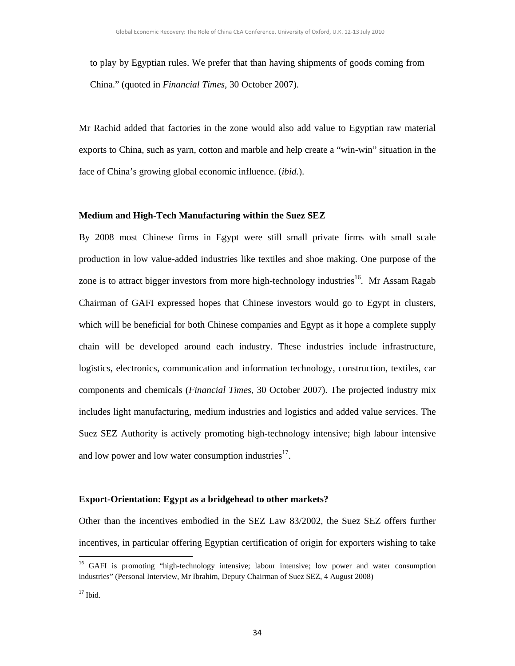to play by Egyptian rules. We prefer that than having shipments of goods coming from China." (quoted in *Financial Times*, 30 October 2007).

Mr Rachid added that factories in the zone would also add value to Egyptian raw material exports to China, such as yarn, cotton and marble and help create a "win-win" situation in the face of China's growing global economic influence. (*ibid.*).

#### **Medium and High-Tech Manufacturing within the Suez SEZ**

By 2008 most Chinese firms in Egypt were still small private firms with small scale production in low value-added industries like textiles and shoe making. One purpose of the zone is to attract bigger investors from more high-technology industries<sup>16</sup>. Mr Assam Ragab Chairman of GAFI expressed hopes that Chinese investors would go to Egypt in clusters, which will be beneficial for both Chinese companies and Egypt as it hope a complete supply chain will be developed around each industry. These industries include infrastructure, logistics, electronics, communication and information technology, construction, textiles, car components and chemicals (*Financial Times*, 30 October 2007). The projected industry mix includes light manufacturing, medium industries and logistics and added value services. The Suez SEZ Authority is actively promoting high-technology intensive; high labour intensive and low power and low water consumption industries $^{17}$ .

### **Export-Orientation: Egypt as a bridgehead to other markets?**

Other than the incentives embodied in the SEZ Law 83/2002, the Suez SEZ offers further incentives, in particular offering Egyptian certification of origin for exporters wishing to take

<sup>&</sup>lt;sup>16</sup> GAFI is promoting "high-technology intensive; labour intensive; low power and water consumption industries" (Personal Interview, Mr Ibrahim, Deputy Chairman of Suez SEZ, 4 August 2008)

 $17$  Ibid.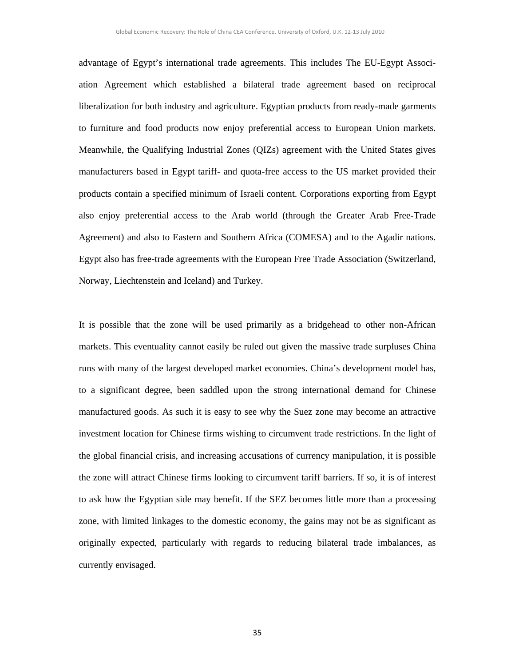advantage of Egypt's international trade agreements. This includes The EU-Egypt Association Agreement which established a bilateral trade agreement based on reciprocal liberalization for both industry and agriculture. Egyptian products from ready-made garments to furniture and food products now enjoy preferential access to European Union markets. Meanwhile, the Qualifying Industrial Zones (QIZs) agreement with the United States gives manufacturers based in Egypt tariff- and quota-free access to the US market provided their products contain a specified minimum of Israeli content. Corporations exporting from Egypt also enjoy preferential access to the Arab world (through the Greater Arab Free-Trade Agreement) and also to Eastern and Southern Africa (COMESA) and to the Agadir nations. Egypt also has free-trade agreements with the European Free Trade Association (Switzerland, Norway, Liechtenstein and Iceland) and Turkey.

It is possible that the zone will be used primarily as a bridgehead to other non-African markets. This eventuality cannot easily be ruled out given the massive trade surpluses China runs with many of the largest developed market economies. China's development model has, to a significant degree, been saddled upon the strong international demand for Chinese manufactured goods. As such it is easy to see why the Suez zone may become an attractive investment location for Chinese firms wishing to circumvent trade restrictions. In the light of the global financial crisis, and increasing accusations of currency manipulation, it is possible the zone will attract Chinese firms looking to circumvent tariff barriers. If so, it is of interest to ask how the Egyptian side may benefit. If the SEZ becomes little more than a processing zone, with limited linkages to the domestic economy, the gains may not be as significant as originally expected, particularly with regards to reducing bilateral trade imbalances, as currently envisaged.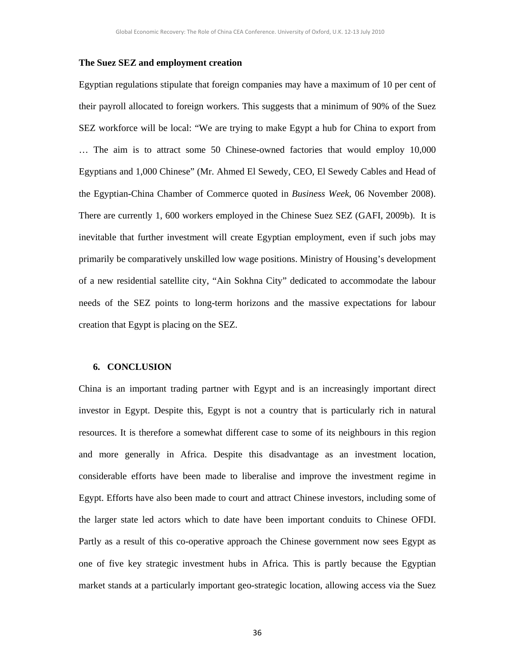#### **The Suez SEZ and employment creation**

Egyptian regulations stipulate that foreign companies may have a maximum of 10 per cent of their payroll allocated to foreign workers. This suggests that a minimum of 90% of the Suez SEZ workforce will be local: "We are trying to make Egypt a hub for China to export from … The aim is to attract some 50 Chinese-owned factories that would employ 10,000 Egyptians and 1,000 Chinese" (Mr. Ahmed El Sewedy, CEO, El Sewedy Cables and Head of the Egyptian-China Chamber of Commerce quoted in *Business Week*, 06 November 2008). There are currently 1, 600 workers employed in the Chinese Suez SEZ (GAFI, 2009b). It is inevitable that further investment will create Egyptian employment, even if such jobs may primarily be comparatively unskilled low wage positions. Ministry of Housing's development of a new residential satellite city, "Ain Sokhna City" dedicated to accommodate the labour needs of the SEZ points to long-term horizons and the massive expectations for labour creation that Egypt is placing on the SEZ.

### **6. CONCLUSION**

China is an important trading partner with Egypt and is an increasingly important direct investor in Egypt. Despite this, Egypt is not a country that is particularly rich in natural resources. It is therefore a somewhat different case to some of its neighbours in this region and more generally in Africa. Despite this disadvantage as an investment location, considerable efforts have been made to liberalise and improve the investment regime in Egypt. Efforts have also been made to court and attract Chinese investors, including some of the larger state led actors which to date have been important conduits to Chinese OFDI. Partly as a result of this co-operative approach the Chinese government now sees Egypt as one of five key strategic investment hubs in Africa. This is partly because the Egyptian market stands at a particularly important geo-strategic location, allowing access via the Suez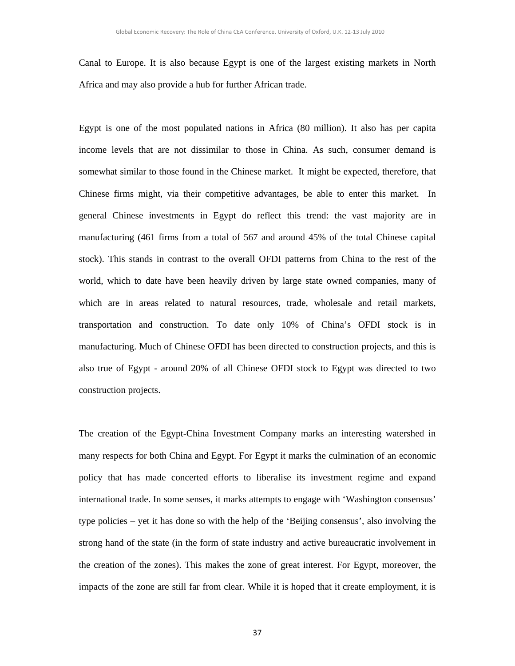Canal to Europe. It is also because Egypt is one of the largest existing markets in North Africa and may also provide a hub for further African trade.

Egypt is one of the most populated nations in Africa (80 million). It also has per capita income levels that are not dissimilar to those in China. As such, consumer demand is somewhat similar to those found in the Chinese market. It might be expected, therefore, that Chinese firms might, via their competitive advantages, be able to enter this market. In general Chinese investments in Egypt do reflect this trend: the vast majority are in manufacturing (461 firms from a total of 567 and around 45% of the total Chinese capital stock). This stands in contrast to the overall OFDI patterns from China to the rest of the world, which to date have been heavily driven by large state owned companies, many of which are in areas related to natural resources, trade, wholesale and retail markets, transportation and construction. To date only 10% of China's OFDI stock is in manufacturing. Much of Chinese OFDI has been directed to construction projects, and this is also true of Egypt - around 20% of all Chinese OFDI stock to Egypt was directed to two construction projects.

The creation of the Egypt-China Investment Company marks an interesting watershed in many respects for both China and Egypt. For Egypt it marks the culmination of an economic policy that has made concerted efforts to liberalise its investment regime and expand international trade. In some senses, it marks attempts to engage with 'Washington consensus' type policies – yet it has done so with the help of the 'Beijing consensus', also involving the strong hand of the state (in the form of state industry and active bureaucratic involvement in the creation of the zones). This makes the zone of great interest. For Egypt, moreover, the impacts of the zone are still far from clear. While it is hoped that it create employment, it is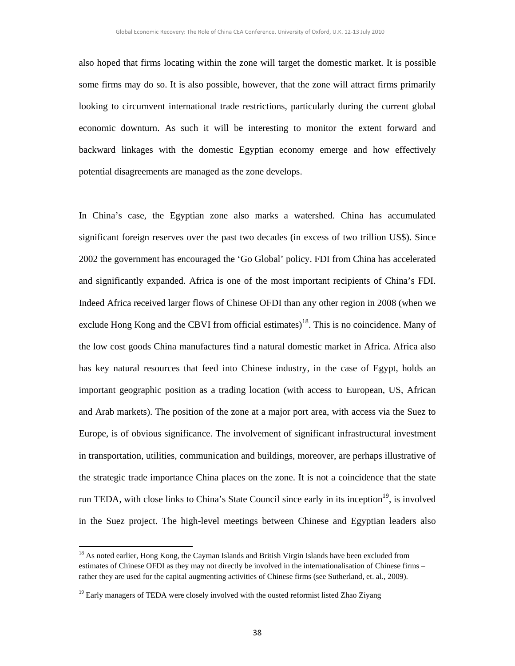also hoped that firms locating within the zone will target the domestic market. It is possible some firms may do so. It is also possible, however, that the zone will attract firms primarily looking to circumvent international trade restrictions, particularly during the current global economic downturn. As such it will be interesting to monitor the extent forward and backward linkages with the domestic Egyptian economy emerge and how effectively potential disagreements are managed as the zone develops.

In China's case, the Egyptian zone also marks a watershed. China has accumulated significant foreign reserves over the past two decades (in excess of two trillion US\$). Since 2002 the government has encouraged the 'Go Global' policy. FDI from China has accelerated and significantly expanded. Africa is one of the most important recipients of China's FDI. Indeed Africa received larger flows of Chinese OFDI than any other region in 2008 (when we exclude Hong Kong and the CBVI from official estimates)<sup>18</sup>. This is no coincidence. Many of the low cost goods China manufactures find a natural domestic market in Africa. Africa also has key natural resources that feed into Chinese industry, in the case of Egypt, holds an important geographic position as a trading location (with access to European, US, African and Arab markets). The position of the zone at a major port area, with access via the Suez to Europe, is of obvious significance. The involvement of significant infrastructural investment in transportation, utilities, communication and buildings, moreover, are perhaps illustrative of the strategic trade importance China places on the zone. It is not a coincidence that the state run TEDA, with close links to China's State Council since early in its inception<sup>19</sup>, is involved in the Suez project. The high-level meetings between Chinese and Egyptian leaders also

<sup>&</sup>lt;sup>18</sup> As noted earlier, Hong Kong, the Cayman Islands and British Virgin Islands have been excluded from estimates of Chinese OFDI as they may not directly be involved in the internationalisation of Chinese firms – rather they are used for the capital augmenting activities of Chinese firms (see Sutherland, et. al., 2009).

<sup>&</sup>lt;sup>19</sup> Early managers of TEDA were closely involved with the ousted reformist listed Zhao Ziyang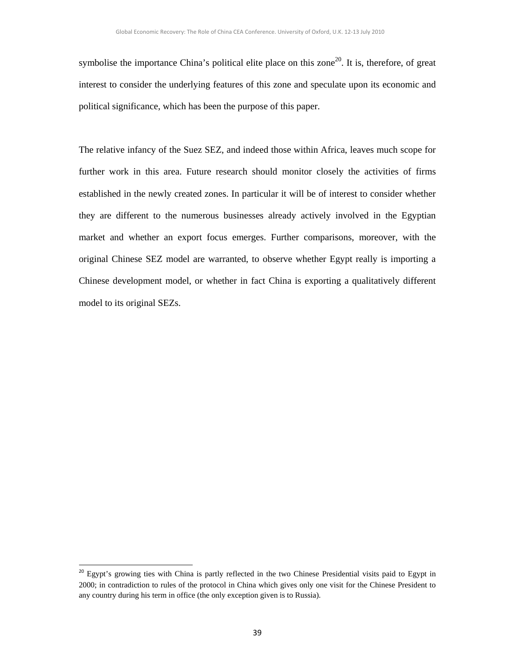symbolise the importance China's political elite place on this zone<sup>20</sup>. It is, therefore, of great interest to consider the underlying features of this zone and speculate upon its economic and political significance, which has been the purpose of this paper.

The relative infancy of the Suez SEZ, and indeed those within Africa, leaves much scope for further work in this area. Future research should monitor closely the activities of firms established in the newly created zones. In particular it will be of interest to consider whether they are different to the numerous businesses already actively involved in the Egyptian market and whether an export focus emerges. Further comparisons, moreover, with the original Chinese SEZ model are warranted, to observe whether Egypt really is importing a Chinese development model, or whether in fact China is exporting a qualitatively different model to its original SEZs.

<sup>&</sup>lt;sup>20</sup> Egypt's growing ties with China is partly reflected in the two Chinese Presidential visits paid to Egypt in 2000; in contradiction to rules of the protocol in China which gives only one visit for the Chinese President to any country during his term in office (the only exception given is to Russia).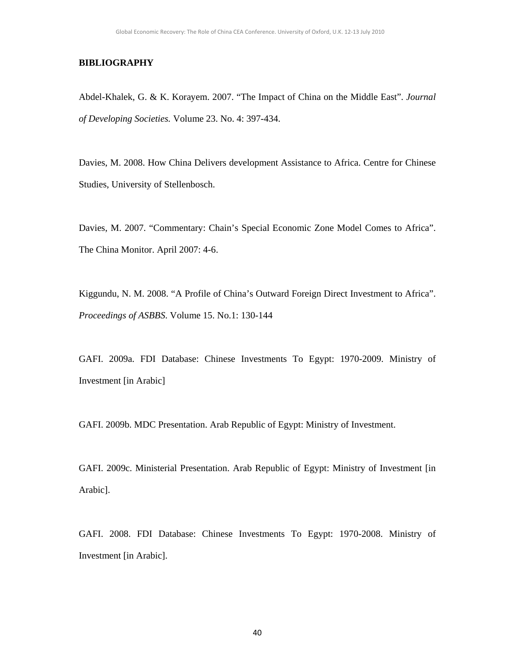## **BIBLIOGRAPHY**

Abdel-Khalek, G. & K. Korayem. 2007. "The Impact of China on the Middle East". *Journal of Developing Societies.* Volume 23. No. 4: 397-434.

Davies, M. 2008. How China Delivers development Assistance to Africa. Centre for Chinese Studies, University of Stellenbosch.

Davies, M. 2007. "Commentary: Chain's Special Economic Zone Model Comes to Africa". The China Monitor. April 2007: 4-6.

Kiggundu, N. M. 2008. "A Profile of China's Outward Foreign Direct Investment to Africa". *Proceedings of ASBBS*. Volume 15. No.1: 130-144

GAFI. 2009a. FDI Database: Chinese Investments To Egypt: 1970-2009. Ministry of Investment [in Arabic]

GAFI. 2009b. MDC Presentation. Arab Republic of Egypt: Ministry of Investment.

GAFI. 2009c. Ministerial Presentation. Arab Republic of Egypt: Ministry of Investment [in Arabic].

GAFI. 2008. FDI Database: Chinese Investments To Egypt: 1970-2008. Ministry of Investment [in Arabic].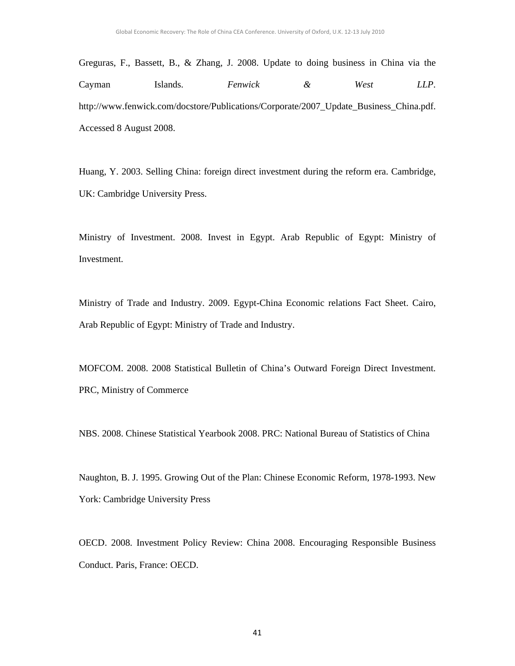Greguras, F., Bassett, B., & Zhang, J. 2008. Update to doing business in China via the Cayman Islands. *Fenwick & West LLP*. http://www.fenwick.com/docstore/Publications/Corporate/2007\_Update\_Business\_China.pdf. Accessed 8 August 2008.

Huang, Y. 2003. Selling China: foreign direct investment during the reform era. Cambridge, UK: Cambridge University Press.

Ministry of Investment. 2008. Invest in Egypt. Arab Republic of Egypt: Ministry of Investment.

Ministry of Trade and Industry. 2009. Egypt-China Economic relations Fact Sheet. Cairo, Arab Republic of Egypt: Ministry of Trade and Industry.

MOFCOM. 2008. 2008 Statistical Bulletin of China's Outward Foreign Direct Investment. PRC, Ministry of Commerce

NBS. 2008. Chinese Statistical Yearbook 2008. PRC: National Bureau of Statistics of China

Naughton, B. J. 1995. Growing Out of the Plan: Chinese Economic Reform*,* 1978-1993. New York: Cambridge University Press

OECD. 2008. Investment Policy Review: China 2008. Encouraging Responsible Business Conduct. Paris, France: OECD.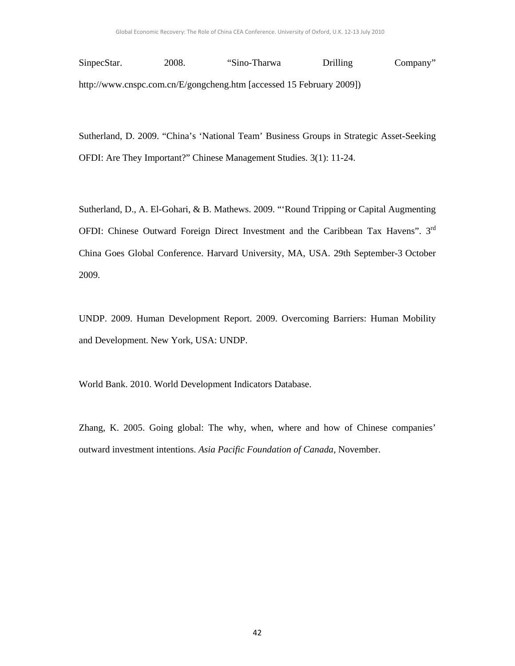SinpecStar. 2008. "Sino-Tharwa Drilling Company" http://www.cnspc.com.cn/E/gongcheng.htm [accessed 15 February 2009])

Sutherland, D. 2009. "China's 'National Team' Business Groups in Strategic Asset-Seeking OFDI: Are They Important?" Chinese Management Studies. 3(1): 11-24.

Sutherland, D., A. El-Gohari, & B. Mathews. 2009. "'Round Tripping or Capital Augmenting OFDI: Chinese Outward Foreign Direct Investment and the Caribbean Tax Havens". 3<sup>rd</sup> China Goes Global Conference. Harvard University, MA, USA. 29th September-3 October 2009.

UNDP. 2009. Human Development Report. 2009. Overcoming Barriers: Human Mobility and Development. New York, USA: UNDP.

World Bank. 2010. World Development Indicators Database.

Zhang, K. 2005. Going global: The why, when, where and how of Chinese companies' outward investment intentions. *Asia Pacific Foundation of Canada*, November.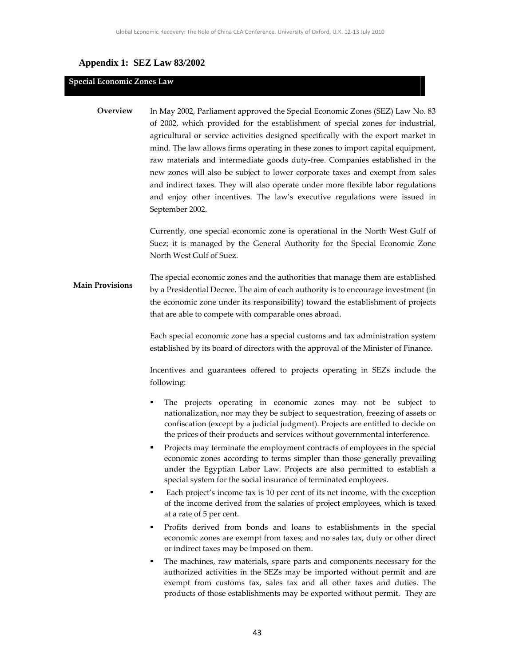## **Appendix 1: SEZ Law 83/2002**

#### **Special Economic Zones Law**

In May 2002, Parliament approved the Special Economic Zones (SEZ) Law No. 83 of 2002, which provided for the establishment of special zones for industrial, agricultural or service activities designed specifically with the export market in mind. The law allows firms operating in these zones to import capital equipment, raw materials and intermediate goods duty‐free. Companies established in the new zones will also be subject to lower corporate taxes and exempt from sales and indirect taxes. They will also operate under more flexible labor regulations and enjoy other incentives. The law's executive regulations were issued in September 2002. **Overview** 

> Currently, one special economic zone is operational in the North West Gulf of Suez; it is managed by the General Authority for the Special Economic Zone North West Gulf of Suez.

The special economic zones and the authorities that manage them are established by a Presidential Decree. The aim of each authority is to encourage investment (in the economic zone under its responsibility) toward the establishment of projects that are able to compete with comparable ones abroad. **Main Provisions** 

> Each special economic zone has a special customs and tax administration system established by its board of directors with the approval of the Minister of Finance.

> Incentives and guarantees offered to projects operating in SEZs include the following:

- The projects operating in economic zones may not be subject to nationalization, nor may they be subject to sequestration, freezing of assets or confiscation (except by a judicial judgment). Projects are entitled to decide on the prices of their products and services without governmental interference.
- Projects may terminate the employment contracts of employees in the special economic zones according to terms simpler than those generally prevailing under the Egyptian Labor Law. Projects are also permitted to establish a special system for the social insurance of terminated employees.
- Each project's income tax is 10 per cent of its net income, with the exception of the income derived from the salaries of project employees, which is taxed at a rate of 5 per cent.
- Profits derived from bonds and loans to establishments in the special economic zones are exempt from taxes; and no sales tax, duty or other direct or indirect taxes may be imposed on them.
- The machines, raw materials, spare parts and components necessary for the authorized activities in the SEZs may be imported without permit and are exempt from customs tax, sales tax and all other taxes and duties. The products of those establishments may be exported without permit. They are